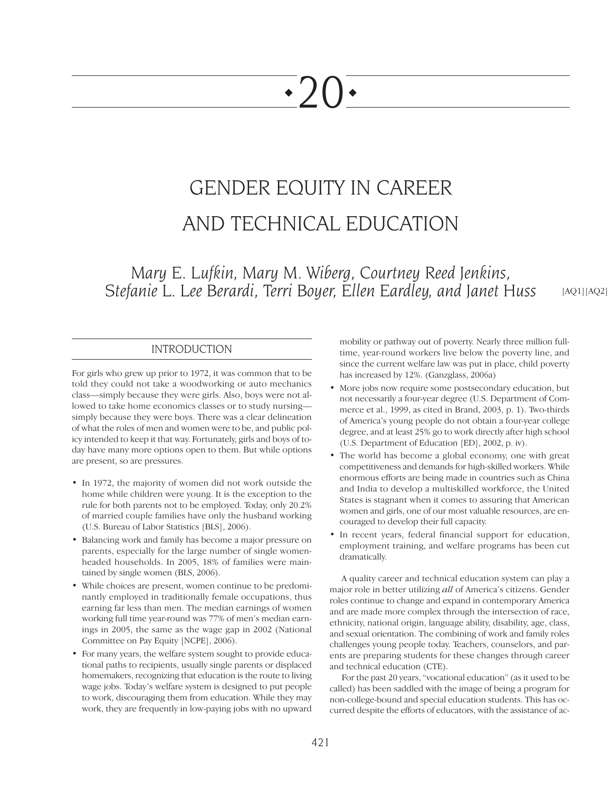# $\cdot$ ')() $\cdot$

# GENDER EQUITY IN CAREER AND TECHNICAL EDUCATION

*Mary E. Lufkin, Mary M. Wiberg, Courtney Reed Jenkins, Stefanie L. Lee Berardi, Terri Boyer, Ellen Eardley, and Janet Huss*

[AQ1][AQ2]

# INTRODUCTION

For girls who grew up prior to 1972, it was common that to be told they could not take a woodworking or auto mechanics class—simply because they were girls. Also, boys were not allowed to take home economics classes or to study nursing simply because they were boys. There was a clear delineation of what the roles of men and women were to be, and public policy intended to keep it that way. Fortunately, girls and boys of today have many more options open to them. But while options are present, so are pressures.

- In 1972, the majority of women did not work outside the home while children were young. It is the exception to the rule for both parents not to be employed. Today, only 20.2% of married couple families have only the husband working (U.S. Bureau of Labor Statistics [BLS], 2006).
- Balancing work and family has become a major pressure on parents, especially for the large number of single womenheaded households. In 2005, 18% of families were maintained by single women (BLS, 2006).
- While choices are present, women continue to be predominantly employed in traditionally female occupations, thus earning far less than men. The median earnings of women working full time year-round was 77% of men's median earnings in 2005, the same as the wage gap in 2002 (National Committee on Pay Equity [NCPE], 2006).
- For many years, the welfare system sought to provide educational paths to recipients, usually single parents or displaced homemakers, recognizing that education is the route to living wage jobs. Today's welfare system is designed to put people to work, discouraging them from education. While they may work, they are frequently in low-paying jobs with no upward

mobility or pathway out of poverty. Nearly three million fulltime, year-round workers live below the poverty line, and since the current welfare law was put in place, child poverty has increased by 12%. (Ganzglass, 2006a)

- More jobs now require some postsecondary education, but not necessarily a four-year degree (U.S. Department of Commerce et al., 1999, as cited in Brand, 2003, p. 1). Two-thirds of America's young people do not obtain a four-year college degree, and at least 25% go to work directly after high school (U.S. Department of Education [ED], 2002, p. iv).
- The world has become a global economy, one with great competitiveness and demands for high-skilled workers. While enormous efforts are being made in countries such as China and India to develop a multiskilled workforce, the United States is stagnant when it comes to assuring that American women and girls, one of our most valuable resources, are encouraged to develop their full capacity.
- In recent years, federal financial support for education, employment training, and welfare programs has been cut dramatically.

A quality career and technical education system can play a major role in better utilizing *all* of America's citizens. Gender roles continue to change and expand in contemporary America and are made more complex through the intersection of race, ethnicity, national origin, language ability, disability, age, class, and sexual orientation. The combining of work and family roles challenges young people today. Teachers, counselors, and parents are preparing students for these changes through career and technical education (CTE).

For the past 20 years, "vocational education" (as it used to be called) has been saddled with the image of being a program for non-college-bound and special education students. This has occurred despite the efforts of educators, with the assistance of ac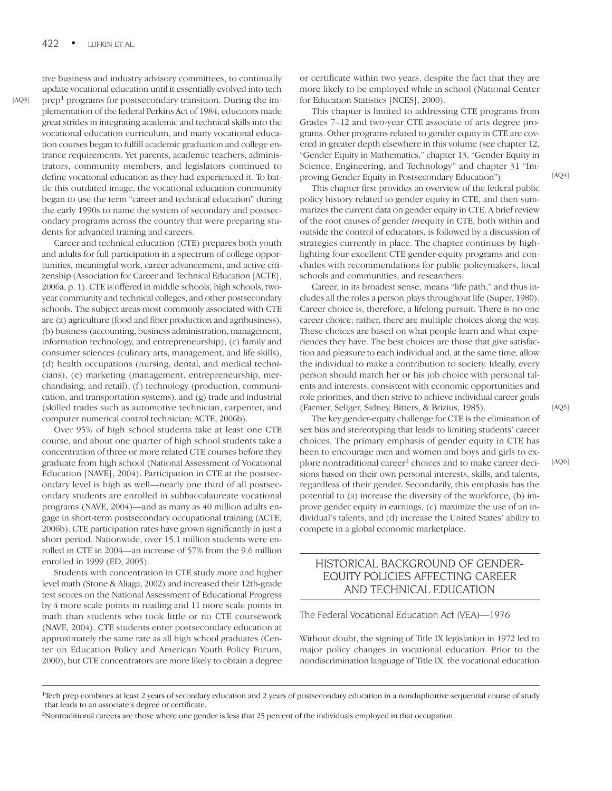tive business and industry advisory committees, to continually update vocational education until it essentially evolved into tech

prep<sup>1</sup> programs for postsecondary transition. During the implementation of the federal Perkins Act of 1984, educators made great strides in integrating academic and technical skills into the vocational education curriculum, and many vocational education courses began to fulfill academic graduation and college entrance requirements. Yet parents, academic teachers, administrators, community members, and legislators continued to define vocational education as they had experienced it. To battle this outdated image, the vocational education community began to use the term "career and technical education" during the early 1990s to name the system of secondary and postsecondary programs across the country that were preparing students for advanced training and careers.

Career and technical education (CTE) prepares both youth and adults for full participation in a spectrum of college opportunities, meaningful work, career advancement, and active citizenship (Association for Career and Technical Education [ACTE], 2006a, p. 1). CTE is offered in middle schools, high schools, twoyear community and technical colleges, and other postsecondary schools. The subject areas most commonly associated with CTE are (a) agriculture (food and fiber production and agribusiness), (b) business (accounting, business administration, management, information technology, and entrepreneurship), (c) family and consumer sciences (culinary arts, management, and life skills), (d) health occupations (nursing, dental, and medical technicians), (e) marketing (management, entrepreneurship, merchandising, and retail), (f) technology (production, communication, and transportation systems), and (g) trade and industrial (skilled trades such as automotive technician, carpenter, and computer numerical control technician; ACTE, 2006b).

Over 95% of high school students take at least one CTE course, and about one quarter of high school students take a concentration of three or more related CTE courses before they graduate from high school (National Assessment of Vocational Education [NAVE], 2004). Participation in CTE at the postsecondary level is high as well—nearly one third of all postsecondary students are enrolled in subbaccalaureate vocational programs (NAVE, 2004)—and as many as 40 million adults engage in short-term postsecondary occupational training (ACTE, 2006b). CTE participation rates have grown significantly in just a short period. Nationwide, over 15.1 million students were enrolled in CTE in 2004—an increase of 57% from the 9.6 million enrolled in 1999 (ED, 2005).

Students with concentration in CTE study more and higher level math (Stone & Aliaga, 2002) and increased their 12th-grade test scores on the National Assessment of Educational Progress by 4 more scale points in reading and 11 more scale points in math than students who took little or no CTE coursework (NAVE, 2004). CTE students enter postsecondary education at approximately the same rate as all high school graduates (Center on Education Policy and American Youth Policy Forum, 2000), but CTE concentrators are more likely to obtain a degree

or certificate within two years, despite the fact that they are more likely to be employed while in school (National Center for Education Statistics [NCES], 2000).

This chapter is limited to addressing CTE programs from Grades 7–12 and two-year CTE associate of arts degree programs. Other programs related to gender equity in CTE are covered in greater depth elsewhere in this volume (see chapter 12, "Gender Equity in Mathematics," chapter 13, "Gender Equity in Science, Engineering, and Technology" and chapter 31 "Improving Gender Equity in Postsecondary Education")

This chapter first provides an overview of the federal public policy history related to gender equity in CTE, and then summarizes the current data on gender equity in CTE. A brief review of the root causes of gender *in*equity in CTE, both within and outside the control of educators, is followed by a discussion of strategies currently in place. The chapter continues by highlighting four excellent CTE gender-equity programs and concludes with recommendations for public policymakers, local schools and communities, and researchers.

Career, in its broadest sense, means "life path," and thus includes all the roles a person plays throughout life (Super, 1980). Career choice is, therefore, a lifelong pursuit. There is no one career choice; rather, there are multiple choices along the way. These choices are based on what people learn and what experiences they have. The best choices are those that give satisfaction and pleasure to each individual and, at the same time, allow the individual to make a contribution to society. Ideally, every person should match her or his job choice with personal talents and interests, consistent with economic opportunities and role priorities, and then strive to achieve individual career goals (Farmer, Seliger, Sidney, Bitters, & Brizius, 1985).

The key gender-equity challenge for CTE is the elimination of sex bias and stereotyping that leads to limiting students' career choices. The primary emphasis of gender equity in CTE has been to encourage men and women and boys and girls to explore nontraditional career<sup>2</sup> choices and to make career decisions based on their own personal interests, skills, and talents, regardless of their gender. Secondarily, this emphasis has the potential to (a) increase the diversity of the workforce, (b) improve gender equity in earnings, (c) maximize the use of an individual's talents, and (d) increase the United States' ability to compete in a global economic marketplace.

# HISTORICAL BACKGROUND OF GENDER-EQUITY POLICIES AFFECTING CAREER AND TECHNICAL EDUCATION

The Federal Vocational Education Act (VEA)—1976

Without doubt, the signing of Title IX legislation in 1972 led to major policy changes in vocational education. Prior to the nondiscrimination language of Title IX, the vocational education

 $[AQ4]$ 

[AQ5]

[AQ6]

[AQ3]

<sup>&</sup>lt;sup>1</sup>Tech prep combines at least 2 years of secondary education and 2 years of postsecondary education in a nonduplicative sequential course of study that leads to an associate's degree or certificate.

<sup>2</sup> Nontraditional careers are those where one gender is less that 25 percent of the individuals employed in that occupation.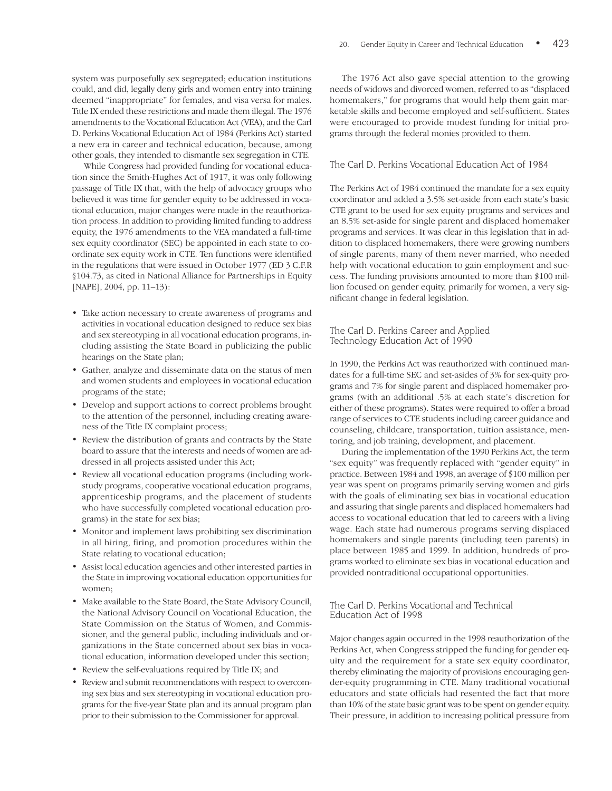system was purposefully sex segregated; education institutions could, and did, legally deny girls and women entry into training deemed "inappropriate" for females, and visa versa for males. Title IX ended these restrictions and made them illegal. The 1976 amendments to the Vocational Education Act (VEA), and the Carl D. Perkins Vocational Education Act of 1984 (Perkins Act) started a new era in career and technical education, because, among other goals, they intended to dismantle sex segregation in CTE.

While Congress had provided funding for vocational education since the Smith-Hughes Act of 1917, it was only following passage of Title IX that, with the help of advocacy groups who believed it was time for gender equity to be addressed in vocational education, major changes were made in the reauthorization process. In addition to providing limited funding to address equity, the 1976 amendments to the VEA mandated a full-time sex equity coordinator (SEC) be appointed in each state to coordinate sex equity work in CTE. Ten functions were identified in the regulations that were issued in October 1977 (ED 3 C.F.R §104.73, as cited in National Alliance for Partnerships in Equity [NAPE], 2004, pp. 11–13):

- Take action necessary to create awareness of programs and activities in vocational education designed to reduce sex bias and sex stereotyping in all vocational education programs, including assisting the State Board in publicizing the public hearings on the State plan;
- Gather, analyze and disseminate data on the status of men and women students and employees in vocational education programs of the state;
- Develop and support actions to correct problems brought to the attention of the personnel, including creating awareness of the Title IX complaint process;
- Review the distribution of grants and contracts by the State board to assure that the interests and needs of women are addressed in all projects assisted under this Act;
- Review all vocational education programs (including workstudy programs, cooperative vocational education programs, apprenticeship programs, and the placement of students who have successfully completed vocational education programs) in the state for sex bias;
- Monitor and implement laws prohibiting sex discrimination in all hiring, firing, and promotion procedures within the State relating to vocational education;
- Assist local education agencies and other interested parties in the State in improving vocational education opportunities for women;
- Make available to the State Board, the State Advisory Council, the National Advisory Council on Vocational Education, the State Commission on the Status of Women, and Commissioner, and the general public, including individuals and organizations in the State concerned about sex bias in vocational education, information developed under this section;
- Review the self-evaluations required by Title IX; and
- Review and submit recommendations with respect to overcoming sex bias and sex stereotyping in vocational education programs for the five-year State plan and its annual program plan prior to their submission to the Commissioner for approval.

The 1976 Act also gave special attention to the growing needs of widows and divorced women, referred to as "displaced homemakers," for programs that would help them gain marketable skills and become employed and self-sufficient. States were encouraged to provide modest funding for initial programs through the federal monies provided to them.

#### The Carl D. Perkins Vocational Education Act of 1984

The Perkins Act of 1984 continued the mandate for a sex equity coordinator and added a 3.5% set-aside from each state's basic CTE grant to be used for sex equity programs and services and an 8.5% set-aside for single parent and displaced homemaker programs and services. It was clear in this legislation that in addition to displaced homemakers, there were growing numbers of single parents, many of them never married, who needed help with vocational education to gain employment and success. The funding provisions amounted to more than \$100 million focused on gender equity, primarily for women, a very significant change in federal legislation.

#### The Carl D. Perkins Career and Applied Technology Education Act of 1990

In 1990, the Perkins Act was reauthorized with continued mandates for a full-time SEC and set-asides of 3% for sex-quity programs and 7% for single parent and displaced homemaker programs (with an additional .5% at each state's discretion for either of these programs). States were required to offer a broad range of services to CTE students including career guidance and counseling, childcare, transportation, tuition assistance, mentoring, and job training, development, and placement.

During the implementation of the 1990 Perkins Act, the term "sex equity" was frequently replaced with "gender equity" in practice. Between 1984 and 1998, an average of \$100 million per year was spent on programs primarily serving women and girls with the goals of eliminating sex bias in vocational education and assuring that single parents and displaced homemakers had access to vocational education that led to careers with a living wage. Each state had numerous programs serving displaced homemakers and single parents (including teen parents) in place between 1985 and 1999. In addition, hundreds of programs worked to eliminate sex bias in vocational education and provided nontraditional occupational opportunities.

#### The Carl D. Perkins Vocational and Technical Education Act of 1998

Major changes again occurred in the 1998 reauthorization of the Perkins Act, when Congress stripped the funding for gender equity and the requirement for a state sex equity coordinator, thereby eliminating the majority of provisions encouraging gender-equity programming in CTE. Many traditional vocational educators and state officials had resented the fact that more than 10% of the state basic grant was to be spent on gender equity. Their pressure, in addition to increasing political pressure from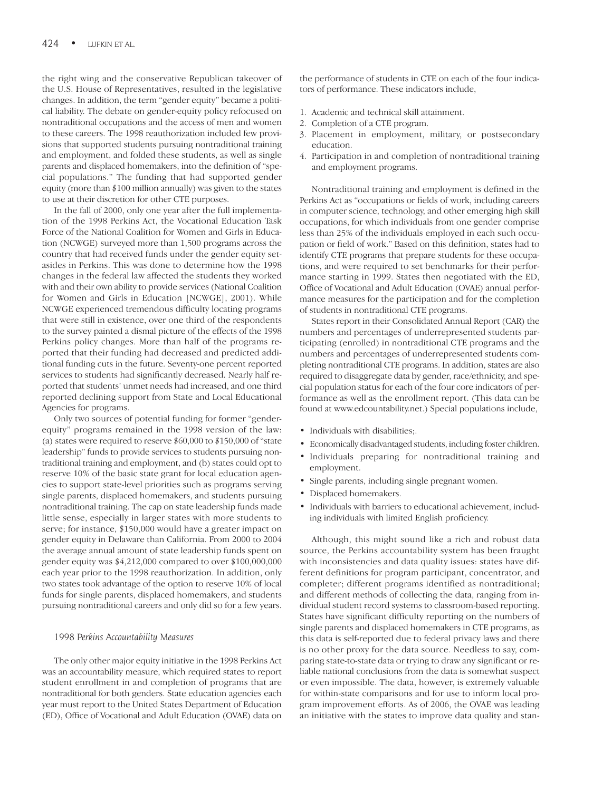the right wing and the conservative Republican takeover of the U.S. House of Representatives, resulted in the legislative changes. In addition, the term "gender equity" became a political liability. The debate on gender-equity policy refocused on nontraditional occupations and the access of men and women to these careers. The 1998 reauthorization included few provisions that supported students pursuing nontraditional training and employment, and folded these students, as well as single parents and displaced homemakers, into the definition of "special populations." The funding that had supported gender equity (more than \$100 million annually) was given to the states to use at their discretion for other CTE purposes.

In the fall of 2000, only one year after the full implementation of the 1998 Perkins Act, the Vocational Education Task Force of the National Coalition for Women and Girls in Education (NCWGE) surveyed more than 1,500 programs across the country that had received funds under the gender equity setasides in Perkins. This was done to determine how the 1998 changes in the federal law affected the students they worked with and their own ability to provide services (National Coalition for Women and Girls in Education [NCWGE], 2001). While NCWGE experienced tremendous difficulty locating programs that were still in existence, over one third of the respondents to the survey painted a dismal picture of the effects of the 1998 Perkins policy changes. More than half of the programs reported that their funding had decreased and predicted additional funding cuts in the future. Seventy-one percent reported services to students had significantly decreased. Nearly half reported that students' unmet needs had increased, and one third reported declining support from State and Local Educational Agencies for programs.

Only two sources of potential funding for former "genderequity" programs remained in the 1998 version of the law: (a) states were required to reserve \$60,000 to \$150,000 of "state leadership" funds to provide services to students pursuing nontraditional training and employment, and (b) states could opt to reserve 10% of the basic state grant for local education agencies to support state-level priorities such as programs serving single parents, displaced homemakers, and students pursuing nontraditional training. The cap on state leadership funds made little sense, especially in larger states with more students to serve; for instance, \$150,000 would have a greater impact on gender equity in Delaware than California. From 2000 to 2004 the average annual amount of state leadership funds spent on gender equity was \$4,212,000 compared to over \$100,000,000 each year prior to the 1998 reauthorization. In addition, only two states took advantage of the option to reserve 10% of local funds for single parents, displaced homemakers, and students pursuing nontraditional careers and only did so for a few years.

#### *1998 Perkins Accountability Measures*

The only other major equity initiative in the 1998 Perkins Act was an accountability measure, which required states to report student enrollment in and completion of programs that are nontraditional for both genders. State education agencies each year must report to the United States Department of Education (ED), Office of Vocational and Adult Education (OVAE) data on the performance of students in CTE on each of the four indicators of performance. These indicators include,

- 1. Academic and technical skill attainment.
- 2. Completion of a CTE program.
- 3. Placement in employment, military, or postsecondary education.
- 4. Participation in and completion of nontraditional training and employment programs.

Nontraditional training and employment is defined in the Perkins Act as "occupations or fields of work, including careers in computer science, technology, and other emerging high skill occupations, for which individuals from one gender comprise less than 25% of the individuals employed in each such occupation or field of work." Based on this definition, states had to identify CTE programs that prepare students for these occupations, and were required to set benchmarks for their performance starting in 1999. States then negotiated with the ED, Office of Vocational and Adult Education (OVAE) annual performance measures for the participation and for the completion of students in nontraditional CTE programs.

States report in their Consolidated Annual Report (CAR) the numbers and percentages of underrepresented students participating (enrolled) in nontraditional CTE programs and the numbers and percentages of underrepresented students completing nontraditional CTE programs. In addition, states are also required to disaggregate data by gender, race/ethnicity, and special population status for each of the four core indicators of performance as well as the enrollment report. (This data can be found at www.edcountability.net.) Special populations include,

- Individuals with disabilities;.
- Economically disadvantaged students, including foster children.
- Individuals preparing for nontraditional training and employment.
- Single parents, including single pregnant women.
- Displaced homemakers.
- Individuals with barriers to educational achievement, including individuals with limited English proficiency.

Although, this might sound like a rich and robust data source, the Perkins accountability system has been fraught with inconsistencies and data quality issues: states have different definitions for program participant, concentrator, and completer; different programs identified as nontraditional; and different methods of collecting the data, ranging from individual student record systems to classroom-based reporting. States have significant difficulty reporting on the numbers of single parents and displaced homemakers in CTE programs, as this data is self-reported due to federal privacy laws and there is no other proxy for the data source. Needless to say, comparing state-to-state data or trying to draw any significant or reliable national conclusions from the data is somewhat suspect or even impossible. The data, however, is extremely valuable for within-state comparisons and for use to inform local program improvement efforts. As of 2006, the OVAE was leading an initiative with the states to improve data quality and stan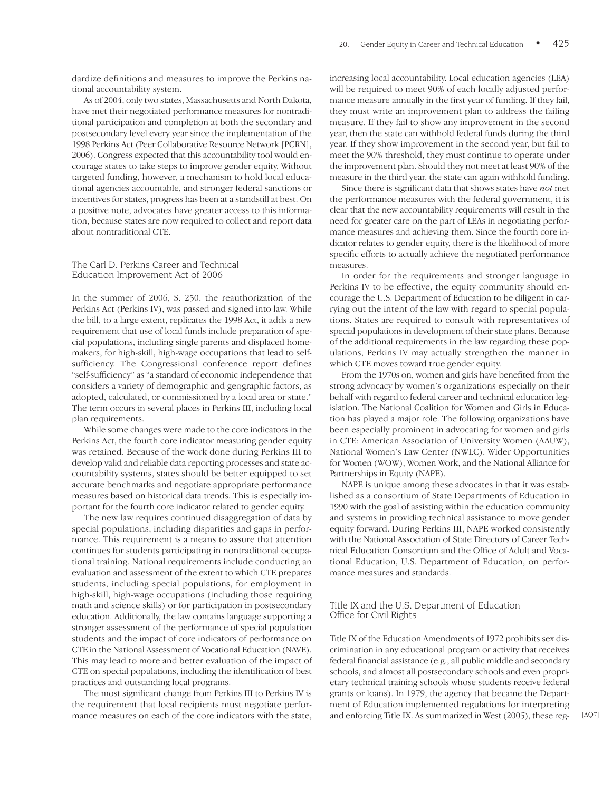dardize definitions and measures to improve the Perkins national accountability system.

As of 2004, only two states, Massachusetts and North Dakota, have met their negotiated performance measures for nontraditional participation and completion at both the secondary and postsecondary level every year since the implementation of the 1998 Perkins Act (Peer Collaborative Resource Network [PCRN], 2006). Congress expected that this accountability tool would encourage states to take steps to improve gender equity. Without targeted funding, however, a mechanism to hold local educational agencies accountable, and stronger federal sanctions or incentives for states, progress has been at a standstill at best. On a positive note, advocates have greater access to this information, because states are now required to collect and report data about nontraditional CTE.

#### The Carl D. Perkins Career and Technical Education Improvement Act of 2006

In the summer of 2006, S. 250, the reauthorization of the Perkins Act (Perkins IV), was passed and signed into law. While the bill, to a large extent, replicates the 1998 Act, it adds a new requirement that use of local funds include preparation of special populations, including single parents and displaced homemakers, for high-skill, high-wage occupations that lead to selfsufficiency. The Congressional conference report defines "self-sufficiency" as "a standard of economic independence that considers a variety of demographic and geographic factors, as adopted, calculated, or commissioned by a local area or state." The term occurs in several places in Perkins III, including local plan requirements.

While some changes were made to the core indicators in the Perkins Act, the fourth core indicator measuring gender equity was retained. Because of the work done during Perkins III to develop valid and reliable data reporting processes and state accountability systems, states should be better equipped to set accurate benchmarks and negotiate appropriate performance measures based on historical data trends. This is especially important for the fourth core indicator related to gender equity.

The new law requires continued disaggregation of data by special populations, including disparities and gaps in performance. This requirement is a means to assure that attention continues for students participating in nontraditional occupational training. National requirements include conducting an evaluation and assessment of the extent to which CTE prepares students, including special populations, for employment in high-skill, high-wage occupations (including those requiring math and science skills) or for participation in postsecondary education. Additionally, the law contains language supporting a stronger assessment of the performance of special population students and the impact of core indicators of performance on CTE in the National Assessment of Vocational Education (NAVE). This may lead to more and better evaluation of the impact of CTE on special populations, including the identification of best practices and outstanding local programs.

The most significant change from Perkins III to Perkins IV is the requirement that local recipients must negotiate performance measures on each of the core indicators with the state, increasing local accountability. Local education agencies (LEA) will be required to meet 90% of each locally adjusted performance measure annually in the first year of funding. If they fail, they must write an improvement plan to address the failing measure. If they fail to show any improvement in the second year, then the state can withhold federal funds during the third year. If they show improvement in the second year, but fail to meet the 90% threshold, they must continue to operate under the improvement plan. Should they not meet at least 90% of the measure in the third year, the state can again withhold funding.

Since there is significant data that shows states have *not* met the performance measures with the federal government, it is clear that the new accountability requirements will result in the need for greater care on the part of LEAs in negotiating performance measures and achieving them. Since the fourth core indicator relates to gender equity, there is the likelihood of more specific efforts to actually achieve the negotiated performance measures.

In order for the requirements and stronger language in Perkins IV to be effective, the equity community should encourage the U.S. Department of Education to be diligent in carrying out the intent of the law with regard to special populations. States are required to consult with representatives of special populations in development of their state plans. Because of the additional requirements in the law regarding these populations, Perkins IV may actually strengthen the manner in which CTE moves toward true gender equity.

From the 1970s on, women and girls have benefited from the strong advocacy by women's organizations especially on their behalf with regard to federal career and technical education legislation. The National Coalition for Women and Girls in Education has played a major role. The following organizations have been especially prominent in advocating for women and girls in CTE: American Association of University Women (AAUW), National Women's Law Center (NWLC), Wider Opportunities for Women (WOW), Women Work, and the National Alliance for Partnerships in Equity (NAPE).

NAPE is unique among these advocates in that it was established as a consortium of State Departments of Education in 1990 with the goal of assisting within the education community and systems in providing technical assistance to move gender equity forward. During Perkins III, NAPE worked consistently with the National Association of State Directors of Career Technical Education Consortium and the Office of Adult and Vocational Education, U.S. Department of Education, on performance measures and standards.

#### Title IX and the U.S. Department of Education Office for Civil Rights

Title IX of the Education Amendments of 1972 prohibits sex discrimination in any educational program or activity that receives federal financial assistance (e.g., all public middle and secondary schools, and almost all postsecondary schools and even proprietary technical training schools whose students receive federal grants or loans). In 1979, the agency that became the Department of Education implemented regulations for interpreting and enforcing Title IX. As summarized in West (2005), these reg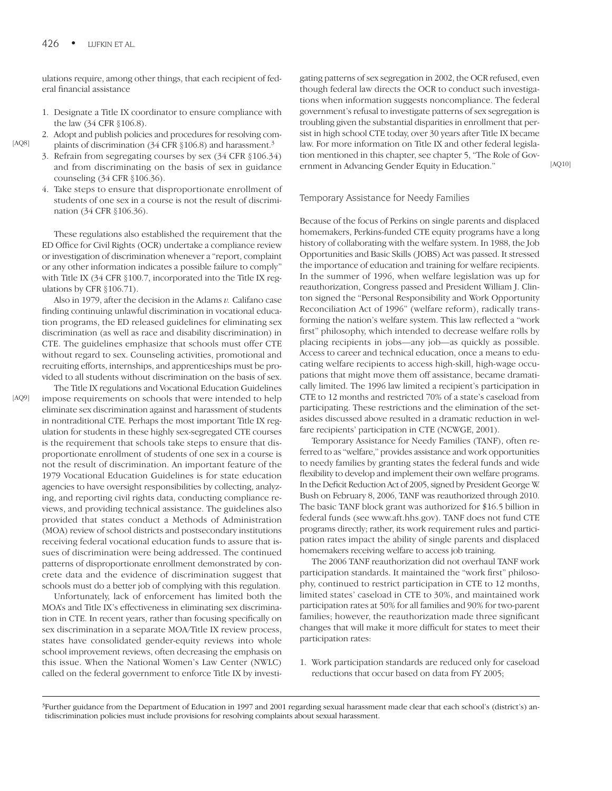ulations require, among other things, that each recipient of federal financial assistance

- 1. Designate a Title IX coordinator to ensure compliance with the law (34 CFR §106.8).
- 2. Adopt and publish policies and procedures for resolving complaints of discrimination (34 CFR §106.8) and harassment.<sup>3</sup>
- 3. Refrain from segregating courses by sex (34 CFR §106.34) and from discriminating on the basis of sex in guidance counseling (34 CFR §106.36).
- 4. Take steps to ensure that disproportionate enrollment of students of one sex in a course is not the result of discrimination (34 CFR §106.36).

These regulations also established the requirement that the ED Office for Civil Rights (OCR) undertake a compliance review or investigation of discrimination whenever a "report, complaint or any other information indicates a possible failure to comply" with Title IX (34 CFR §100.7, incorporated into the Title IX regulations by CFR §106.71).

Also in 1979, after the decision in the Adams *v.* Califano case finding continuing unlawful discrimination in vocational education programs, the ED released guidelines for eliminating sex discrimination (as well as race and disability discrimination) in CTE. The guidelines emphasize that schools must offer CTE without regard to sex. Counseling activities, promotional and recruiting efforts, internships, and apprenticeships must be provided to all students without discrimination on the basis of sex.

[AQ9]

[AQ8]

The Title IX regulations and Vocational Education Guidelines impose requirements on schools that were intended to help eliminate sex discrimination against and harassment of students in nontraditional CTE. Perhaps the most important Title IX regulation for students in these highly sex-segregated CTE courses is the requirement that schools take steps to ensure that disproportionate enrollment of students of one sex in a course is not the result of discrimination. An important feature of the 1979 Vocational Education Guidelines is for state education agencies to have oversight responsibilities by collecting, analyzing, and reporting civil rights data, conducting compliance reviews, and providing technical assistance. The guidelines also provided that states conduct a Methods of Administration (MOA) review of school districts and postsecondary institutions receiving federal vocational education funds to assure that issues of discrimination were being addressed. The continued patterns of disproportionate enrollment demonstrated by concrete data and the evidence of discrimination suggest that schools must do a better job of complying with this regulation.

Unfortunately, lack of enforcement has limited both the MOA's and Title IX's effectiveness in eliminating sex discrimination in CTE. In recent years, rather than focusing specifically on sex discrimination in a separate MOA/Title IX review process, states have consolidated gender-equity reviews into whole school improvement reviews, often decreasing the emphasis on this issue. When the National Women's Law Center (NWLC) called on the federal government to enforce Title IX by investigating patterns of sex segregation in 2002, the OCR refused, even though federal law directs the OCR to conduct such investigations when information suggests noncompliance. The federal government's refusal to investigate patterns of sex segregation is troubling given the substantial disparities in enrollment that persist in high school CTE today, over 30 years after Title IX became law. For more information on Title IX and other federal legislation mentioned in this chapter, see chapter 5, "The Role of Government in Advancing Gender Equity in Education."

#### Temporary Assistance for Needy Families

Because of the focus of Perkins on single parents and displaced homemakers, Perkins-funded CTE equity programs have a long history of collaborating with the welfare system. In 1988, the Job Opportunities and Basic Skills (JOBS) Act was passed. It stressed the importance of education and training for welfare recipients. In the summer of 1996, when welfare legislation was up for reauthorization, Congress passed and President William J. Clinton signed the "Personal Responsibility and Work Opportunity Reconciliation Act of 1996" (welfare reform), radically transforming the nation's welfare system. This law reflected a "work first" philosophy, which intended to decrease welfare rolls by placing recipients in jobs—any job—as quickly as possible. Access to career and technical education, once a means to educating welfare recipients to access high-skill, high-wage occupations that might move them off assistance, became dramatically limited. The 1996 law limited a recipient's participation in CTE to 12 months and restricted 70% of a state's caseload from participating. These restrictions and the elimination of the setasides discussed above resulted in a dramatic reduction in welfare recipients' participation in CTE (NCWGE, 2001).

Temporary Assistance for Needy Families (TANF), often referred to as "welfare," provides assistance and work opportunities to needy families by granting states the federal funds and wide flexibility to develop and implement their own welfare programs. In the Deficit Reduction Act of 2005, signed by President George W. Bush on February 8, 2006, TANF was reauthorized through 2010. The basic TANF block grant was authorized for \$16.5 billion in federal funds (see www.aft.hhs.gov). TANF does not fund CTE programs directly; rather, its work requirement rules and participation rates impact the ability of single parents and displaced homemakers receiving welfare to access job training.

The 2006 TANF reauthorization did not overhaul TANF work participation standards. It maintained the "work first" philosophy, continued to restrict participation in CTE to 12 months, limited states' caseload in CTE to 30%, and maintained work participation rates at 50% for all families and 90% for two-parent families; however, the reauthorization made three significant changes that will make it more difficult for states to meet their participation rates:

1. Work participation standards are reduced only for caseload reductions that occur based on data from FY 2005;

[AQ10]

<sup>&</sup>lt;sup>3</sup>Further guidance from the Department of Education in 1997 and 2001 regarding sexual harassment made clear that each school's (district's) antidiscrimination policies must include provisions for resolving complaints about sexual harassment.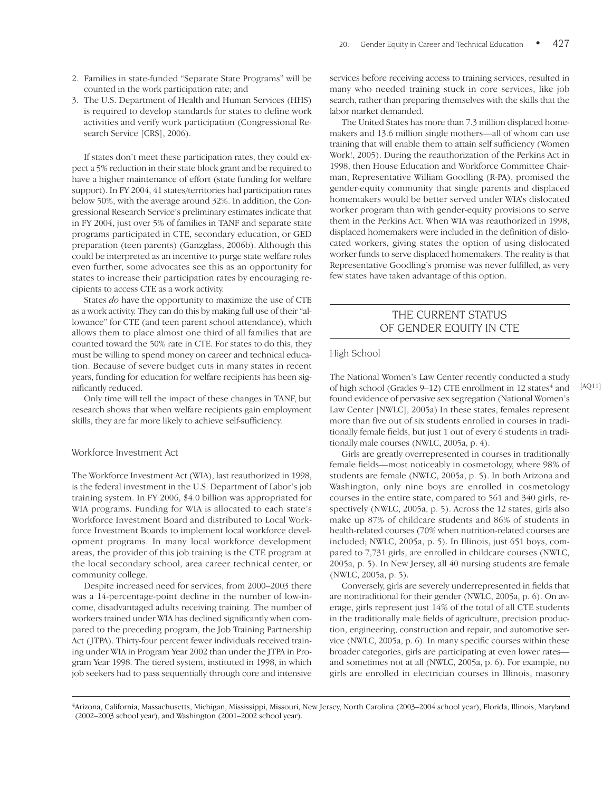- 2. Families in state-funded "Separate State Programs" will be counted in the work participation rate; and
- 3. The U.S. Department of Health and Human Services (HHS) is required to develop standards for states to define work activities and verify work participation (Congressional Research Service [CRS], 2006).

If states don't meet these participation rates, they could expect a 5% reduction in their state block grant and be required to have a higher maintenance of effort (state funding for welfare support). In FY 2004, 41 states/territories had participation rates below 50%, with the average around 32%. In addition, the Congressional Research Service's preliminary estimates indicate that in FY 2004, just over 5% of families in TANF and separate state programs participated in CTE, secondary education, or GED preparation (teen parents) (Ganzglass, 2006b). Although this could be interpreted as an incentive to purge state welfare roles even further, some advocates see this as an opportunity for states to increase their participation rates by encouraging recipients to access CTE as a work activity.

States *do* have the opportunity to maximize the use of CTE as a work activity. They can do this by making full use of their "allowance" for CTE (and teen parent school attendance), which allows them to place almost one third of all families that are counted toward the 50% rate in CTE. For states to do this, they must be willing to spend money on career and technical education. Because of severe budget cuts in many states in recent years, funding for education for welfare recipients has been significantly reduced.

Only time will tell the impact of these changes in TANF, but research shows that when welfare recipients gain employment skills, they are far more likely to achieve self-sufficiency.

#### Workforce Investment Act

The Workforce Investment Act (WIA), last reauthorized in 1998, is the federal investment in the U.S. Department of Labor's job training system. In FY 2006, \$4.0 billion was appropriated for WIA programs. Funding for WIA is allocated to each state's Workforce Investment Board and distributed to Local Workforce Investment Boards to implement local workforce development programs. In many local workforce development areas, the provider of this job training is the CTE program at the local secondary school, area career technical center, or community college.

Despite increased need for services, from 2000–2003 there was a 14-percentage-point decline in the number of low-income, disadvantaged adults receiving training. The number of workers trained under WIA has declined significantly when compared to the preceding program, the Job Training Partnership Act (JTPA). Thirty-four percent fewer individuals received training under WIA in Program Year 2002 than under the JTPA in Program Year 1998. The tiered system, instituted in 1998, in which job seekers had to pass sequentially through core and intensive

services before receiving access to training services, resulted in many who needed training stuck in core services, like job search, rather than preparing themselves with the skills that the labor market demanded.

The United States has more than 7.3 million displaced homemakers and 13.6 million single mothers—all of whom can use training that will enable them to attain self sufficiency (Women Work!, 2005). During the reauthorization of the Perkins Act in 1998, then House Education and Workforce Committee Chairman, Representative William Goodling (R-PA), promised the gender-equity community that single parents and displaced homemakers would be better served under WIA's dislocated worker program than with gender-equity provisions to serve them in the Perkins Act. When WIA was reauthorized in 1998, displaced homemakers were included in the definition of dislocated workers, giving states the option of using dislocated worker funds to serve displaced homemakers. The reality is that Representative Goodling's promise was never fulfilled, as very few states have taken advantage of this option.

# THE CURRENT STATUS OF GENDER EQUITY IN CTE

#### High School

The National Women's Law Center recently conducted a study of high school (Grades  $9-12$ ) CTE enrollment in 12 states<sup>4</sup> and found evidence of pervasive sex segregation (National Women's Law Center [NWLC], 2005a) In these states, females represent more than five out of six students enrolled in courses in traditionally female fields, but just 1 out of every 6 students in traditionally male courses (NWLC, 2005a, p. 4).

Girls are greatly overrepresented in courses in traditionally female fields—most noticeably in cosmetology, where 98% of students are female (NWLC, 2005a, p. 5). In both Arizona and Washington, only nine boys are enrolled in cosmetology courses in the entire state, compared to 561 and 340 girls, respectively (NWLC, 2005a, p. 5). Across the 12 states, girls also make up 87% of childcare students and 86% of students in health-related courses (70% when nutrition-related courses are included; NWLC, 2005a, p. 5). In Illinois, just 651 boys, compared to 7,731 girls, are enrolled in childcare courses (NWLC, 2005a, p. 5). In New Jersey, all 40 nursing students are female (NWLC, 2005a, p. 5).

Conversely, girls are severely underrepresented in fields that are nontraditional for their gender (NWLC, 2005a, p. 6). On average, girls represent just 14% of the total of all CTE students in the traditionally male fields of agriculture, precision production, engineering, construction and repair, and automotive service (NWLC, 2005a, p. 6). In many specific courses within these broader categories, girls are participating at even lower rates and sometimes not at all (NWLC, 2005a, p. 6). For example, no girls are enrolled in electrician courses in Illinois, masonry

<sup>4</sup> Arizona, California, Massachusetts, Michigan, Mississippi, Missouri, New Jersey, North Carolina (2003–2004 school year), Florida, Illinois, Maryland (2002–2003 school year), and Washington (2001–2002 school year).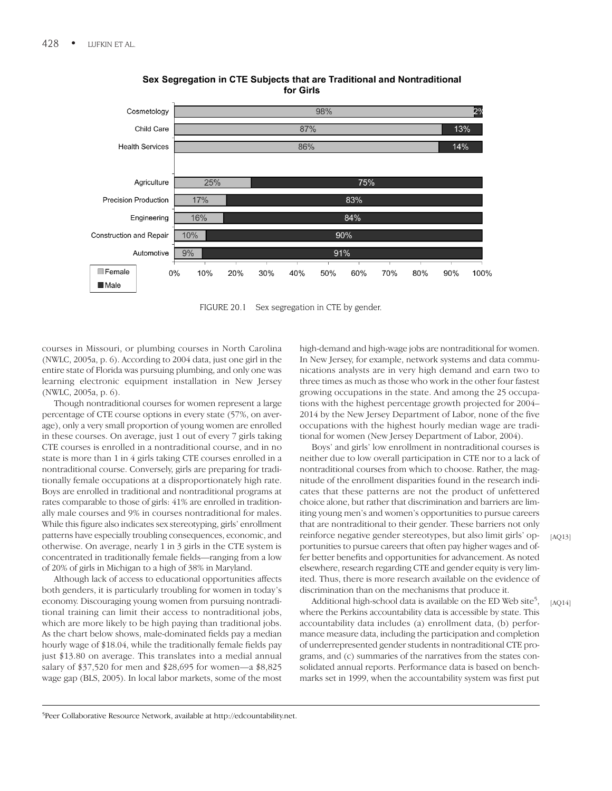

#### Sex Segregation in CTE Subjects that are Traditional and Nontraditional for Girls

FIGURE 20.1 Sex segregation in CTE by gender.

courses in Missouri, or plumbing courses in North Carolina (NWLC, 2005a, p. 6). According to 2004 data, just one girl in the entire state of Florida was pursuing plumbing, and only one was learning electronic equipment installation in New Jersey (NWLC, 2005a, p. 6).

Though nontraditional courses for women represent a large percentage of CTE course options in every state (57%, on average), only a very small proportion of young women are enrolled in these courses. On average, just 1 out of every 7 girls taking CTE courses is enrolled in a nontraditional course, and in no state is more than 1 in 4 girls taking CTE courses enrolled in a nontraditional course. Conversely, girls are preparing for traditionally female occupations at a disproportionately high rate. Boys are enrolled in traditional and nontraditional programs at rates comparable to those of girls: 41% are enrolled in traditionally male courses and 9% in courses nontraditional for males. While this figure also indicates sex stereotyping, girls' enrollment patterns have especially troubling consequences, economic, and otherwise. On average, nearly 1 in 3 girls in the CTE system is concentrated in traditionally female fields—ranging from a low of 20% of girls in Michigan to a high of 38% in Maryland.

Although lack of access to educational opportunities affects both genders, it is particularly troubling for women in today's economy. Discouraging young women from pursuing nontraditional training can limit their access to nontraditional jobs, which are more likely to be high paying than traditional jobs. As the chart below shows, male-dominated fields pay a median hourly wage of \$18.04, while the traditionally female fields pay just \$13.80 on average. This translates into a medial annual salary of \$37,520 for men and \$28,695 for women—a \$8,825 wage gap (BLS, 2005). In local labor markets, some of the most high-demand and high-wage jobs are nontraditional for women. In New Jersey, for example, network systems and data communications analysts are in very high demand and earn two to three times as much as those who work in the other four fastest growing occupations in the state. And among the 25 occupations with the highest percentage growth projected for 2004– 2014 by the New Jersey Department of Labor, none of the five occupations with the highest hourly median wage are traditional for women (New Jersey Department of Labor, 2004).

Boys' and girls' low enrollment in nontraditional courses is neither due to low overall participation in CTE nor to a lack of nontraditional courses from which to choose. Rather, the magnitude of the enrollment disparities found in the research indicates that these patterns are not the product of unfettered choice alone, but rather that discrimination and barriers are limiting young men's and women's opportunities to pursue careers that are nontraditional to their gender. These barriers not only reinforce negative gender stereotypes, but also limit girls' opportunities to pursue careers that often pay higher wages and offer better benefits and opportunities for advancement. As noted elsewhere, research regarding CTE and gender equity is very limited. Thus, there is more research available on the evidence of discrimination than on the mechanisms that produce it.

Additional high-school data is available on the ED Web site<sup>5</sup>, where the Perkins accountability data is accessible by state. This accountability data includes (a) enrollment data, (b) performance measure data, including the participation and completion of underrepresented gender students in nontraditional CTE programs, and (c) summaries of the narratives from the states consolidated annual reports. Performance data is based on benchmarks set in 1999, when the accountability system was first put

[AQ13]

[AO14]

5 Peer Collaborative Resource Network, available at http://edcountability.net.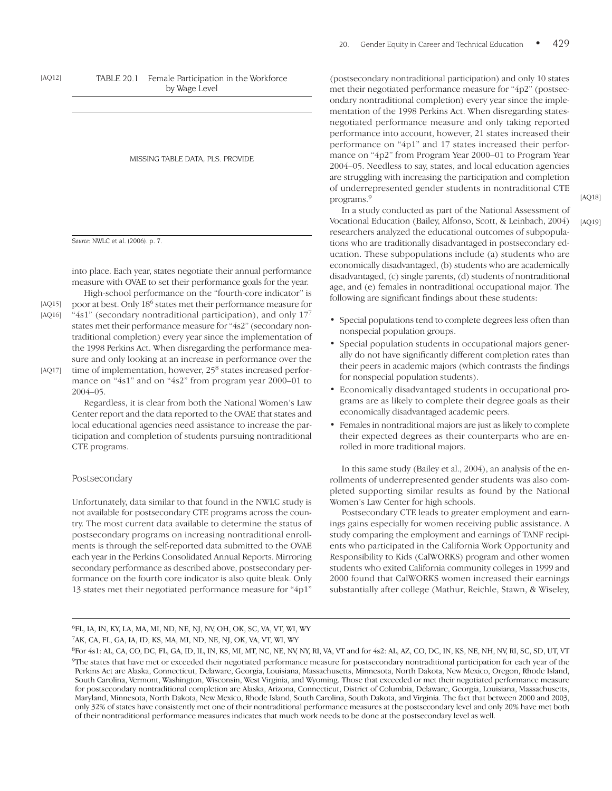TABLE 20.1 Female Participation in the Workforce by Wage Level

MISSING TABLE DATA, PLS. PROVIDE

*Source:* NWLC et al. (2006). p. 7.

[AQ12]

into place. Each year, states negotiate their annual performance measure with OVAE to set their performance goals for the year. High-school performance on the "fourth-core indicator" is

poor at best. Only 186 states met their performance measure for

" $4s1$ " (secondary nontraditional participation), and only  $17<sup>7</sup>$ states met their performance measure for "4s2" (secondary nontraditional completion) every year since the implementation of the 1998 Perkins Act. When disregarding the performance measure and only looking at an increase in performance over the time of implementation, however, 25<sup>8</sup> states increased perfor-[AQ15] [AQ16] [AQ17]

mance on "4s1" and on "4s2" from program year 2000–01 to 2004–05.

Regardless, it is clear from both the National Women's Law Center report and the data reported to the OVAE that states and local educational agencies need assistance to increase the participation and completion of students pursuing nontraditional CTE programs.

#### Postsecondary

Unfortunately, data similar to that found in the NWLC study is not available for postsecondary CTE programs across the country. The most current data available to determine the status of postsecondary programs on increasing nontraditional enrollments is through the self-reported data submitted to the OVAE each year in the Perkins Consolidated Annual Reports. Mirroring secondary performance as described above, postsecondary performance on the fourth core indicator is also quite bleak. Only 13 states met their negotiated performance measure for "4p1"

(postsecondary nontraditional participation) and only 10 states met their negotiated performance measure for "4p2" (postsecondary nontraditional completion) every year since the implementation of the 1998 Perkins Act. When disregarding statesnegotiated performance measure and only taking reported performance into account, however, 21 states increased their performance on "4p1" and 17 states increased their performance on "4p2" from Program Year 2000–01 to Program Year 2004–05. Needless to say, states, and local education agencies are struggling with increasing the participation and completion of underrepresented gender students in nontraditional CTE programs.9

[AQ18]

[AQ19]

In a study conducted as part of the National Assessment of Vocational Education (Bailey, Alfonso, Scott, & Leinbach, 2004) researchers analyzed the educational outcomes of subpopulations who are traditionally disadvantaged in postsecondary education. These subpopulations include (a) students who are economically disadvantaged, (b) students who are academically disadvantaged, (c) single parents, (d) students of nontraditional age, and (e) females in nontraditional occupational major. The following are significant findings about these students:

- Special populations tend to complete degrees less often than nonspecial population groups.
- Special population students in occupational majors generally do not have significantly different completion rates than their peers in academic majors (which contrasts the findings for nonspecial population students).
- Economically disadvantaged students in occupational programs are as likely to complete their degree goals as their economically disadvantaged academic peers.
- Females in nontraditional majors are just as likely to complete their expected degrees as their counterparts who are enrolled in more traditional majors.

In this same study (Bailey et al., 2004), an analysis of the enrollments of underrepresented gender students was also completed supporting similar results as found by the National Women's Law Center for high schools.

Postsecondary CTE leads to greater employment and earnings gains especially for women receiving public assistance. A study comparing the employment and earnings of TANF recipients who participated in the California Work Opportunity and Responsibility to Kids (CalWORKS) program and other women students who exited California community colleges in 1999 and 2000 found that CalWORKS women increased their earnings substantially after college (Mathur, Reichle, Stawn, & Wiseley,

7 AK, CA, FL, GA, IA, ID, KS, MA, MI, ND, NE, NJ, OK, VA, VT, WI, WY

<sup>6</sup> FL, IA, IN, KY, LA, MA, MI, ND, NE, NJ, NV, OH, OK, SC, VA, VT, WI, WY

<sup>&</sup>lt;sup>8</sup>For 4s1: AL, CA, CO, DC, FL, GA, ID, IL, IN, KS, MI, MT, NC, NE, NV, NY, RI, VA, VT and for 4s2: AL, AZ, CO, DC, IN, KS, NE, NH, NV, RI, SC, SD, UT, VT <sup>9</sup>The states that have met or exceeded their negotiated performance measure for postsecondary nontraditional participation for each year of the Perkins Act are Alaska, Connecticut, Delaware, Georgia, Louisiana, Massachusetts, Minnesota, North Dakota, New Mexico, Oregon, Rhode Island, South Carolina, Vermont, Washington, Wisconsin, West Virginia, and Wyoming. Those that exceeded or met their negotiated performance measure for postsecondary nontraditional completion are Alaska, Arizona, Connecticut, District of Columbia, Delaware, Georgia, Louisiana, Massachusetts, Maryland, Minnesota, North Dakota, New Mexico, Rhode Island, South Carolina, South Dakota, and Virginia. The fact that between 2000 and 2003, only 32% of states have consistently met one of their nontraditional performance measures at the postsecondary level and only 20% have met both of their nontraditional performance measures indicates that much work needs to be done at the postsecondary level as well.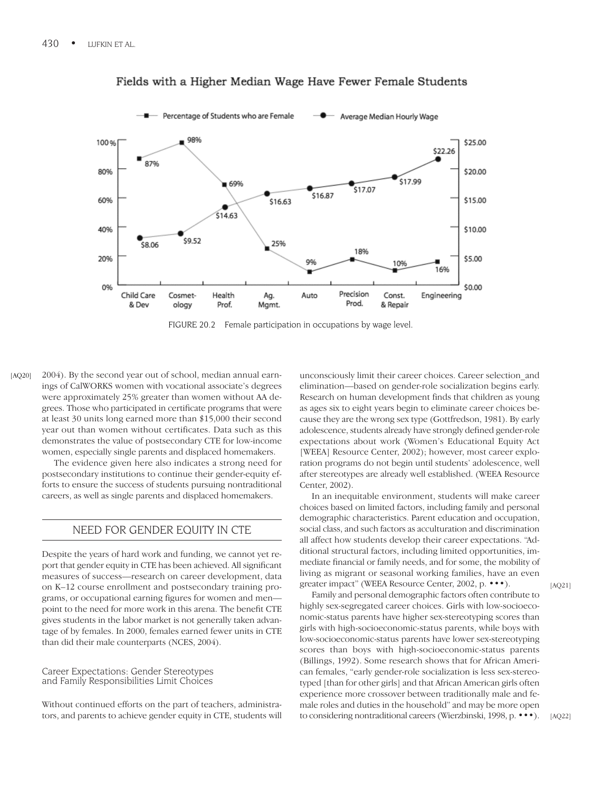

# Fields with a Higher Median Wage Have Fewer Female Students

FIGURE 20.2 Female participation in occupations by wage level.

2004). By the second year out of school, median annual earnings of CalWORKS women with vocational associate's degrees were approximately 25% greater than women without AA degrees. Those who participated in certificate programs that were at least 30 units long earned more than \$15,000 their second year out than women without certificates. Data such as this demonstrates the value of postsecondary CTE for low-income women, especially single parents and displaced homemakers. [AQ20]

> The evidence given here also indicates a strong need for postsecondary institutions to continue their gender-equity efforts to ensure the success of students pursuing nontraditional careers, as well as single parents and displaced homemakers.

# NEED FOR GENDER EQUITY IN CTE

Despite the years of hard work and funding, we cannot yet report that gender equity in CTE has been achieved. All significant measures of success—research on career development, data on K–12 course enrollment and postsecondary training programs, or occupational earning figures for women and men point to the need for more work in this arena. The benefit CTE gives students in the labor market is not generally taken advantage of by females. In 2000, females earned fewer units in CTE than did their male counterparts (NCES, 2004).

Career Expectations: Gender Stereotypes and Family Responsibilities Limit Choices

Without continued efforts on the part of teachers, administrators, and parents to achieve gender equity in CTE, students will unconsciously limit their career choices. Career selection\_and elimination—based on gender-role socialization begins early. Research on human development finds that children as young as ages six to eight years begin to eliminate career choices because they are the wrong sex type (Gottfredson, 1981). By early adolescence, students already have strongly defined gender-role expectations about work (Women's Educational Equity Act [WEEA] Resource Center, 2002); however, most career exploration programs do not begin until students' adolescence, well after stereotypes are already well established. (WEEA Resource Center, 2002).

In an inequitable environment, students will make career choices based on limited factors, including family and personal demographic characteristics. Parent education and occupation, social class, and such factors as acculturation and discrimination all affect how students develop their career expectations. "Additional structural factors, including limited opportunities, immediate financial or family needs, and for some, the mobility of living as migrant or seasonal working families, have an even greater impact" (WEEA Resource Center, 2002, p. •••).

Family and personal demographic factors often contribute to highly sex-segregated career choices. Girls with low-socioeconomic-status parents have higher sex-stereotyping scores than girls with high-socioeconomic-status parents, while boys with low-socioeconomic-status parents have lower sex-stereotyping scores than boys with high-socioeconomic-status parents (Billings, 1992). Some research shows that for African American females, "early gender-role socialization is less sex-stereotyped [than for other girls] and that African American girls often experience more crossover between traditionally male and female roles and duties in the household" and may be more open to considering nontraditional careers (Wierzbinski, 1998, p. •••). [AQ21]

[AQ22]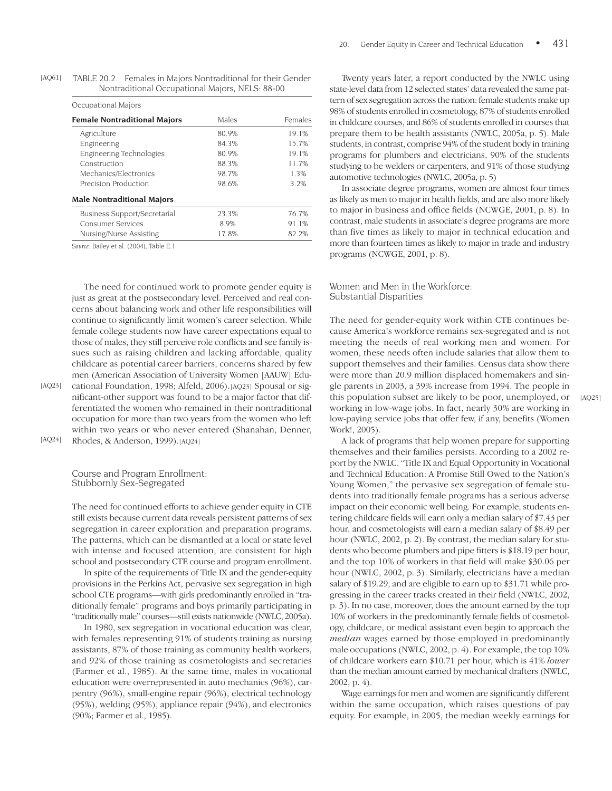| Occupational Majors                 |       |         |  |
|-------------------------------------|-------|---------|--|
| <b>Female Nontraditional Majors</b> | Males | Females |  |
| Agriculture                         | 80.9% | 19.1%   |  |
| Engineering                         | 84.3% | 15.7%   |  |
| Engineering Technologies            | 80.9% | 19.1%   |  |
| Construction                        | 88.3% | 11.7%   |  |
| Mechanics/Electronics               | 98.7% | 1.3%    |  |
| Precision Production                | 98.6% | 3.2%    |  |
| <b>Male Nontraditional Majors</b>   |       |         |  |
| Business Support/Secretarial        | 23.3% | 76.7%   |  |
| <b>Consumer Services</b>            | 8.9%  | 91.1%   |  |
| Nursing/Nurse Assisting             | 17.8% | 82.2%   |  |

| [AQ61] | TABLE 20.2 | Females in Majors Nontraditional for their Gender |
|--------|------------|---------------------------------------------------|
|        |            | Nontraditional Occupational Majors, NELS: 88-00   |

*Source:* Bailey et al. (2004), Table E.1

The need for continued work to promote gender equity is just as great at the postsecondary level. Perceived and real concerns about balancing work and other life responsibilities will continue to significantly limit women's career selection. While female college students now have career expectations equal to those of males, they still perceive role conflicts and see family issues such as raising children and lacking affordable, quality childcare as potential career barriers, concerns shared by few men (American Association of University Women [AAUW] Edu-

cational Foundation, 1998; Alfeld, 2006).[AQ23] Spousal or significant-other support was found to be a major factor that differentiated the women who remained in their nontraditional occupation for more than two years from the women who left within two years or who never entered (Shanahan, Denner, Rhodes, & Anderson, 1999).[AQ24] [AQ23]

[AQ24]

Course and Program Enrollment: Stubbornly Sex-Segregated

The need for continued efforts to achieve gender equity in CTE still exists because current data reveals persistent patterns of sex segregation in career exploration and preparation programs. The patterns, which can be dismantled at a local or state level with intense and focused attention, are consistent for high school and postsecondary CTE course and program enrollment.

In spite of the requirements of Title IX and the gender-equity provisions in the Perkins Act, pervasive sex segregation in high school CTE programs—with girls predominantly enrolled in "traditionally female" programs and boys primarily participating in "traditionally male" courses—still exists nationwide (NWLC, 2005a).

In 1980, sex segregation in vocational education was clear, with females representing 91% of students training as nursing assistants, 87% of those training as community health workers, and 92% of those training as cosmetologists and secretaries (Farmer et al., 1985). At the same time, males in vocational education were overrepresented in auto mechanics (96%), carpentry (96%), small-engine repair (96%), electrical technology (95%), welding (95%), appliance repair (94%), and electronics (90%; Farmer et al., 1985).

Twenty years later, a report conducted by the NWLC using state-level data from 12 selected states' data revealed the same pattern of sex segregation across the nation: female students make up 98% of students enrolled in cosmetology, 87% of students enrolled in childcare courses, and 86% of students enrolled in courses that prepare them to be health assistants (NWLC, 2005a, p. 5). Male students, in contrast, comprise 94% of the student body in training programs for plumbers and electricians, 90% of the students studying to be welders or carpenters, and 91% of those studying automotive technologies (NWLC, 2005a, p. 5)

In associate degree programs, women are almost four times as likely as men to major in health fields, and are also more likely to major in business and office fields (NCWGE, 2001, p. 8). In contrast, male students in associate's degree programs are more than five times as likely to major in technical education and more than fourteen times as likely to major in trade and industry programs (NCWGE, 2001, p. 8).

Women and Men in the Workforce: Substantial Disparities

The need for gender-equity work within CTE continues because America's workforce remains sex-segregated and is not meeting the needs of real working men and women. For women, these needs often include salaries that allow them to support themselves and their families. Census data show there were more than 20.9 million displaced homemakers and single parents in 2003, a 39% increase from 1994. The people in this population subset are likely to be poor, unemployed, or working in low-wage jobs. In fact, nearly 30% are working in low-paying service jobs that offer few, if any, benefits (Women Work!, 2005).

A lack of programs that help women prepare for supporting themselves and their families persists. According to a 2002 report by the NWLC, "Title IX and Equal Opportunity in Vocational and Technical Education: A Promise Still Owed to the Nation's Young Women," the pervasive sex segregation of female students into traditionally female programs has a serious adverse impact on their economic well being. For example, students entering childcare fields will earn only a median salary of \$7.43 per hour, and cosmetologists will earn a median salary of \$8.49 per hour (NWLC, 2002, p. 2). By contrast, the median salary for students who become plumbers and pipe fitters is \$18.19 per hour, and the top 10% of workers in that field will make \$30.06 per hour (NWLC, 2002, p. 3). Similarly, electricians have a median salary of \$19.29, and are eligible to earn up to \$31.71 while progressing in the career tracks created in their field (NWLC, 2002, p. 3). In no case, moreover, does the amount earned by the top 10% of workers in the predominantly female fields of cosmetology, childcare, or medical assistant even begin to approach the *median* wages earned by those employed in predominantly male occupations (NWLC, 2002, p. 4). For example, the top 10% of childcare workers earn \$10.71 per hour, which is 41% *lower* than the median amount earned by mechanical drafters (NWLC, 2002, p. 4).

Wage earnings for men and women are significantly different within the same occupation, which raises questions of pay equity. For example, in 2005, the median weekly earnings for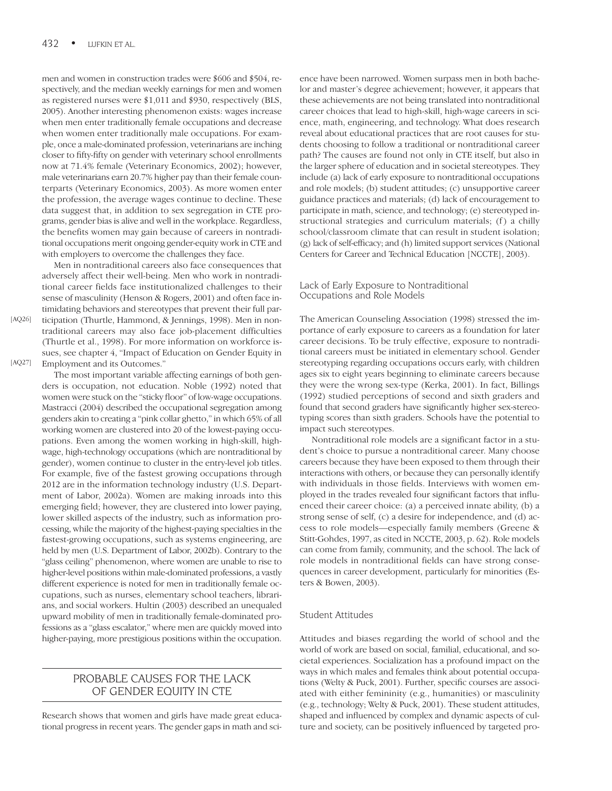men and women in construction trades were \$606 and \$504, respectively, and the median weekly earnings for men and women as registered nurses were \$1,011 and \$930, respectively (BLS, 2005). Another interesting phenomenon exists: wages increase when men enter traditionally female occupations and decrease when women enter traditionally male occupations. For example, once a male-dominated profession, veterinarians are inching closer to fifty-fifty on gender with veterinary school enrollments now at 71.4% female (Veterinary Economics, 2002); however, male veterinarians earn 20.7% higher pay than their female counterparts (Veterinary Economics, 2003). As more women enter the profession, the average wages continue to decline. These data suggest that, in addition to sex segregation in CTE programs, gender bias is alive and well in the workplace. Regardless, the benefits women may gain because of careers in nontraditional occupations merit ongoing gender-equity work in CTE and with employers to overcome the challenges they face.

Men in nontraditional careers also face consequences that adversely affect their well-being. Men who work in nontraditional career fields face institutionalized challenges to their sense of masculinity (Henson & Rogers, 2001) and often face intimidating behaviors and stereotypes that prevent their full participation (Thurtle, Hammond, & Jennings, 1998). Men in nontraditional careers may also face job-placement difficulties (Thurtle et al., 1998). For more information on workforce issues, see chapter 4, "Impact of Education on Gender Equity in Employment and its Outcomes."

The most important variable affecting earnings of both genders is occupation, not education. Noble (1992) noted that women were stuck on the "sticky floor" of low-wage occupations. Mastracci (2004) described the occupational segregation among genders akin to creating a "pink collar ghetto," in which 65% of all working women are clustered into 20 of the lowest-paying occupations. Even among the women working in high-skill, highwage, high-technology occupations (which are nontraditional by gender), women continue to cluster in the entry-level job titles. For example, five of the fastest growing occupations through 2012 are in the information technology industry (U.S. Department of Labor, 2002a). Women are making inroads into this emerging field; however, they are clustered into lower paying, lower skilled aspects of the industry, such as information processing, while the majority of the highest-paying specialties in the fastest-growing occupations, such as systems engineering, are held by men (U.S. Department of Labor, 2002b). Contrary to the "glass ceiling" phenomenon, where women are unable to rise to higher-level positions within male-dominated professions, a vastly different experience is noted for men in traditionally female occupations, such as nurses, elementary school teachers, librarians, and social workers. Hultin (2003) described an unequaled upward mobility of men in traditionally female-dominated professions as a "glass escalator," where men are quickly moved into higher-paying, more prestigious positions within the occupation.

# PROBABLE CAUSES FOR THE LACK OF GENDER EQUITY IN CTE

Research shows that women and girls have made great educational progress in recent years. The gender gaps in math and science have been narrowed. Women surpass men in both bachelor and master's degree achievement; however, it appears that these achievements are not being translated into nontraditional career choices that lead to high-skill, high-wage careers in science, math, engineering, and technology. What does research reveal about educational practices that are root causes for students choosing to follow a traditional or nontraditional career path? The causes are found not only in CTE itself, but also in the larger sphere of education and in societal stereotypes. They include (a) lack of early exposure to nontraditional occupations and role models; (b) student attitudes; (c) unsupportive career guidance practices and materials; (d) lack of encouragement to participate in math, science, and technology; (e) stereotyped instructional strategies and curriculum materials; (f) a chilly school/classroom climate that can result in student isolation; (g) lack of self-efficacy; and (h) limited support services (National Centers for Career and Technical Education [NCCTE], 2003).

#### Lack of Early Exposure to Nontraditional Occupations and Role Models

The American Counseling Association (1998) stressed the importance of early exposure to careers as a foundation for later career decisions. To be truly effective, exposure to nontraditional careers must be initiated in elementary school. Gender stereotyping regarding occupations occurs early, with children ages six to eight years beginning to eliminate careers because they were the wrong sex-type (Kerka, 2001). In fact, Billings (1992) studied perceptions of second and sixth graders and found that second graders have significantly higher sex-stereotyping scores than sixth graders. Schools have the potential to impact such stereotypes.

Nontraditional role models are a significant factor in a student's choice to pursue a nontraditional career. Many choose careers because they have been exposed to them through their interactions with others, or because they can personally identify with individuals in those fields. Interviews with women employed in the trades revealed four significant factors that influenced their career choice: (a) a perceived innate ability, (b) a strong sense of self, (c) a desire for independence, and (d) access to role models—especially family members (Greene & Stitt-Gohdes, 1997, as cited in NCCTE, 2003, p. 62). Role models can come from family, community, and the school. The lack of role models in nontraditional fields can have strong consequences in career development, particularly for minorities (Esters & Bowen, 2003).

#### Student Attitudes

Attitudes and biases regarding the world of school and the world of work are based on social, familial, educational, and societal experiences. Socialization has a profound impact on the ways in which males and females think about potential occupations (Welty & Puck, 2001). Further, specific courses are associated with either femininity (e.g., humanities) or masculinity (e.g., technology; Welty & Puck, 2001). These student attitudes, shaped and influenced by complex and dynamic aspects of culture and society, can be positively influenced by targeted pro-

[AQ27]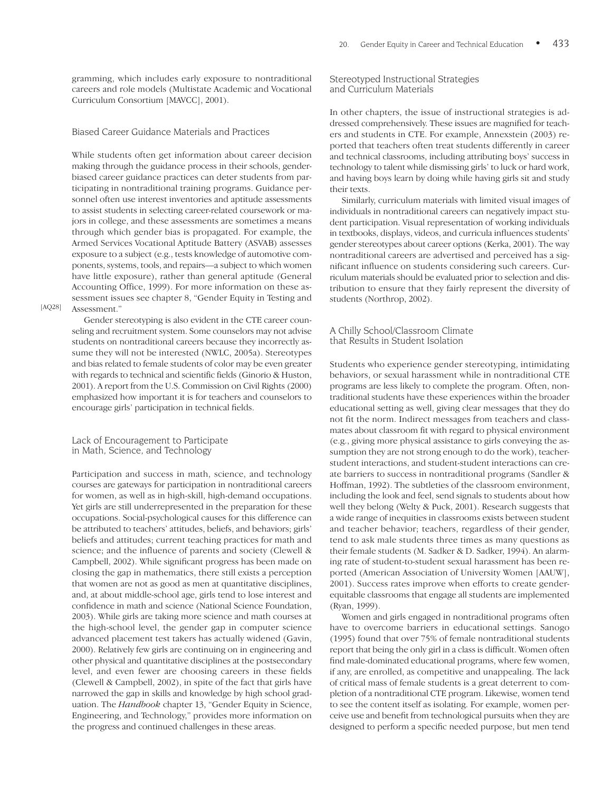gramming, which includes early exposure to nontraditional careers and role models (Multistate Academic and Vocational Curriculum Consortium [MAVCC], 2001).

#### Biased Career Guidance Materials and Practices

While students often get information about career decision making through the guidance process in their schools, genderbiased career guidance practices can deter students from participating in nontraditional training programs. Guidance personnel often use interest inventories and aptitude assessments to assist students in selecting career-related coursework or majors in college, and these assessments are sometimes a means through which gender bias is propagated. For example, the Armed Services Vocational Aptitude Battery (ASVAB) assesses exposure to a subject (e.g., tests knowledge of automotive components, systems, tools, and repairs—a subject to which women have little exposure), rather than general aptitude (General Accounting Office, 1999). For more information on these assessment issues see chapter 8, "Gender Equity in Testing and Assessment."

[AQ28]

Gender stereotyping is also evident in the CTE career counseling and recruitment system. Some counselors may not advise students on nontraditional careers because they incorrectly assume they will not be interested (NWLC, 2005a). Stereotypes and bias related to female students of color may be even greater with regards to technical and scientific fields (Ginorio & Huston, 2001). A report from the U.S. Commission on Civil Rights (2000) emphasized how important it is for teachers and counselors to encourage girls' participation in technical fields.

#### Lack of Encouragement to Participate in Math, Science, and Technology

Participation and success in math, science, and technology courses are gateways for participation in nontraditional careers for women, as well as in high-skill, high-demand occupations. Yet girls are still underrepresented in the preparation for these occupations. Social-psychological causes for this difference can be attributed to teachers' attitudes, beliefs, and behaviors; girls' beliefs and attitudes; current teaching practices for math and science; and the influence of parents and society (Clewell & Campbell, 2002). While significant progress has been made on closing the gap in mathematics, there still exists a perception that women are not as good as men at quantitative disciplines, and, at about middle-school age, girls tend to lose interest and confidence in math and science (National Science Foundation, 2003). While girls are taking more science and math courses at the high-school level, the gender gap in computer science advanced placement test takers has actually widened (Gavin, 2000). Relatively few girls are continuing on in engineering and other physical and quantitative disciplines at the postsecondary level, and even fewer are choosing careers in these fields (Clewell & Campbell, 2002), in spite of the fact that girls have narrowed the gap in skills and knowledge by high school graduation. The *Handbook* chapter 13, "Gender Equity in Science, Engineering, and Technology," provides more information on the progress and continued challenges in these areas.

#### Stereotyped Instructional Strategies and Curriculum Materials

In other chapters, the issue of instructional strategies is addressed comprehensively. These issues are magnified for teachers and students in CTE. For example, Annexstein (2003) reported that teachers often treat students differently in career and technical classrooms, including attributing boys' success in technology to talent while dismissing girls' to luck or hard work, and having boys learn by doing while having girls sit and study their texts.

Similarly, curriculum materials with limited visual images of individuals in nontraditional careers can negatively impact student participation. Visual representation of working individuals in textbooks, displays, videos, and curricula influences students' gender stereotypes about career options (Kerka, 2001). The way nontraditional careers are advertised and perceived has a significant influence on students considering such careers. Curriculum materials should be evaluated prior to selection and distribution to ensure that they fairly represent the diversity of students (Northrop, 2002).

#### A Chilly School/Classroom Climate that Results in Student Isolation

Students who experience gender stereotyping, intimidating behaviors, or sexual harassment while in nontraditional CTE programs are less likely to complete the program. Often, nontraditional students have these experiences within the broader educational setting as well, giving clear messages that they do not fit the norm. Indirect messages from teachers and classmates about classroom fit with regard to physical environment (e.g., giving more physical assistance to girls conveying the assumption they are not strong enough to do the work), teacherstudent interactions, and student-student interactions can create barriers to success in nontraditional programs (Sandler & Hoffman, 1992). The subtleties of the classroom environment, including the look and feel, send signals to students about how well they belong (Welty & Puck, 2001). Research suggests that a wide range of inequities in classrooms exists between student and teacher behavior; teachers, regardless of their gender, tend to ask male students three times as many questions as their female students (M. Sadker & D. Sadker, 1994). An alarming rate of student-to-student sexual harassment has been reported (American Association of University Women [AAUW], 2001). Success rates improve when efforts to create genderequitable classrooms that engage all students are implemented (Ryan, 1999).

Women and girls engaged in nontraditional programs often have to overcome barriers in educational settings. Sanogo (1995) found that over 75% of female nontraditional students report that being the only girl in a class is difficult. Women often find male-dominated educational programs, where few women, if any, are enrolled, as competitive and unappealing. The lack of critical mass of female students is a great deterrent to completion of a nontraditional CTE program. Likewise, women tend to see the content itself as isolating. For example, women perceive use and benefit from technological pursuits when they are designed to perform a specific needed purpose, but men tend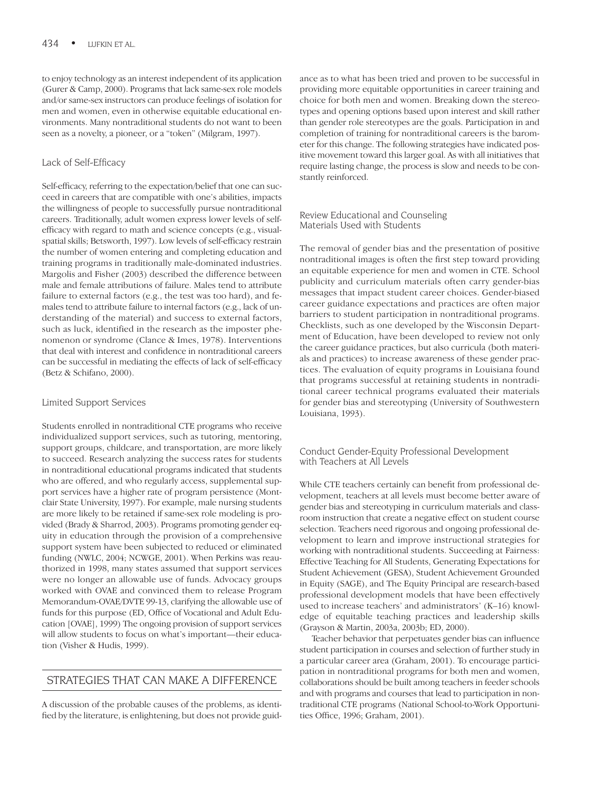to enjoy technology as an interest independent of its application (Gurer & Camp, 2000). Programs that lack same-sex role models and/or same-sex instructors can produce feelings of isolation for men and women, even in otherwise equitable educational environments. Many nontraditional students do not want to been seen as a novelty, a pioneer, or a "token" (Milgram, 1997).

#### Lack of Self-Efficacy

Self-efficacy, referring to the expectation/belief that one can succeed in careers that are compatible with one's abilities, impacts the willingness of people to successfully pursue nontraditional careers. Traditionally, adult women express lower levels of selfefficacy with regard to math and science concepts (e.g., visualspatial skills; Betsworth, 1997). Low levels of self-efficacy restrain the number of women entering and completing education and training programs in traditionally male-dominated industries. Margolis and Fisher (2003) described the difference between male and female attributions of failure. Males tend to attribute failure to external factors (e.g., the test was too hard), and females tend to attribute failure to internal factors (e.g., lack of understanding of the material) and success to external factors, such as luck, identified in the research as the imposter phenomenon or syndrome (Clance & Imes, 1978). Interventions that deal with interest and confidence in nontraditional careers can be successful in mediating the effects of lack of self-efficacy (Betz & Schifano, 2000).

#### Limited Support Services

Students enrolled in nontraditional CTE programs who receive individualized support services, such as tutoring, mentoring, support groups, childcare, and transportation, are more likely to succeed. Research analyzing the success rates for students in nontraditional educational programs indicated that students who are offered, and who regularly access, supplemental support services have a higher rate of program persistence (Montclair State University, 1997). For example, male nursing students are more likely to be retained if same-sex role modeling is provided (Brady & Sharrod, 2003). Programs promoting gender equity in education through the provision of a comprehensive support system have been subjected to reduced or eliminated funding (NWLC, 2004; NCWGE, 2001). When Perkins was reauthorized in 1998, many states assumed that support services were no longer an allowable use of funds. Advocacy groups worked with OVAE and convinced them to release Program Memorandum-OVAE/DVTE 99-13, clarifying the allowable use of funds for this purpose (ED, Office of Vocational and Adult Education [OVAE], 1999) The ongoing provision of support services will allow students to focus on what's important—their education (Visher & Hudis, 1999).

# STRATEGIES THAT CAN MAKE A DIFFERENCE

A discussion of the probable causes of the problems, as identified by the literature, is enlightening, but does not provide guidance as to what has been tried and proven to be successful in providing more equitable opportunities in career training and choice for both men and women. Breaking down the stereotypes and opening options based upon interest and skill rather than gender role stereotypes are the goals. Participation in and completion of training for nontraditional careers is the barometer for this change. The following strategies have indicated positive movement toward this larger goal. As with all initiatives that require lasting change, the process is slow and needs to be constantly reinforced.

#### Review Educational and Counseling Materials Used with Students

The removal of gender bias and the presentation of positive nontraditional images is often the first step toward providing an equitable experience for men and women in CTE. School publicity and curriculum materials often carry gender-bias messages that impact student career choices. Gender-biased career guidance expectations and practices are often major barriers to student participation in nontraditional programs. Checklists, such as one developed by the Wisconsin Department of Education, have been developed to review not only the career guidance practices, but also curricula (both materials and practices) to increase awareness of these gender practices. The evaluation of equity programs in Louisiana found that programs successful at retaining students in nontraditional career technical programs evaluated their materials for gender bias and stereotyping (University of Southwestern Louisiana, 1993).

#### Conduct Gender-Equity Professional Development with Teachers at All Levels

While CTE teachers certainly can benefit from professional development, teachers at all levels must become better aware of gender bias and stereotyping in curriculum materials and classroom instruction that create a negative effect on student course selection. Teachers need rigorous and ongoing professional development to learn and improve instructional strategies for working with nontraditional students. Succeeding at Fairness: Effective Teaching for All Students, Generating Expectations for Student Achievement (GESA), Student Achievement Grounded in Equity (SAGE), and The Equity Principal are research-based professional development models that have been effectively used to increase teachers' and administrators' (K–16) knowledge of equitable teaching practices and leadership skills (Grayson & Martin, 2003a, 2003b; ED, 2000).

Teacher behavior that perpetuates gender bias can influence student participation in courses and selection of further study in a particular career area (Graham, 2001). To encourage participation in nontraditional programs for both men and women, collaborations should be built among teachers in feeder schools and with programs and courses that lead to participation in nontraditional CTE programs (National School-to-Work Opportunities Office, 1996; Graham, 2001).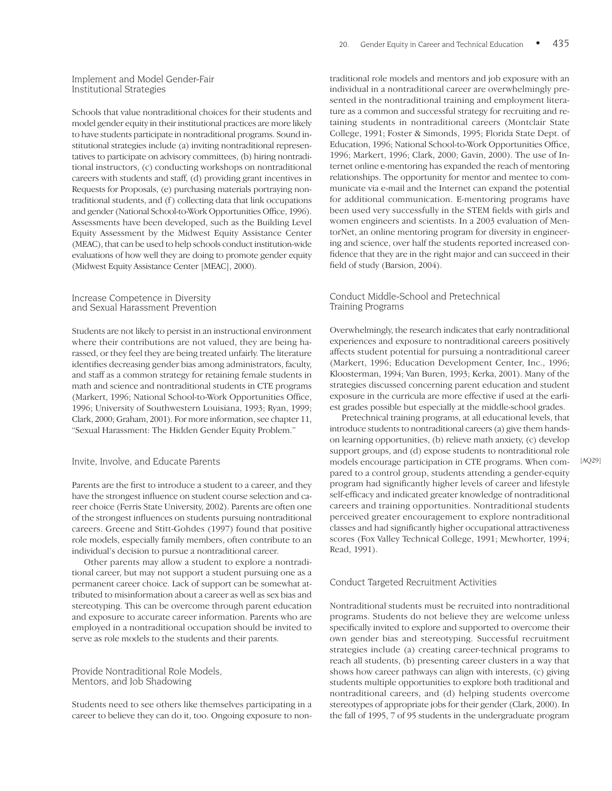Schools that value nontraditional choices for their students and model gender equity in their institutional practices are more likely to have students participate in nontraditional programs. Sound institutional strategies include (a) inviting nontraditional representatives to participate on advisory committees, (b) hiring nontraditional instructors, (c) conducting workshops on nontraditional careers with students and staff, (d) providing grant incentives in Requests for Proposals, (e) purchasing materials portraying nontraditional students, and (f) collecting data that link occupations and gender (National School-to-Work Opportunities Office, 1996). Assessments have been developed, such as the Building Level Equity Assessment by the Midwest Equity Assistance Center (MEAC), that can be used to help schools conduct institution-wide evaluations of how well they are doing to promote gender equity (Midwest Equity Assistance Center [MEAC], 2000).

#### Increase Competence in Diversity and Sexual Harassment Prevention

Students are not likely to persist in an instructional environment where their contributions are not valued, they are being harassed, or they feel they are being treated unfairly. The literature identifies decreasing gender bias among administrators, faculty, and staff as a common strategy for retaining female students in math and science and nontraditional students in CTE programs (Markert, 1996; National School-to-Work Opportunities Office, 1996; University of Southwestern Louisiana, 1993; Ryan, 1999; Clark, 2000; Graham, 2001). For more information, see chapter 11, "Sexual Harassment: The Hidden Gender Equity Problem."

#### Invite, Involve, and Educate Parents

Parents are the first to introduce a student to a career, and they have the strongest influence on student course selection and career choice (Ferris State University, 2002). Parents are often one of the strongest influences on students pursuing nontraditional careers. Greene and Stitt-Gohdes (1997) found that positive role models, especially family members, often contribute to an individual's decision to pursue a nontraditional career.

Other parents may allow a student to explore a nontraditional career, but may not support a student pursuing one as a permanent career choice. Lack of support can be somewhat attributed to misinformation about a career as well as sex bias and stereotyping. This can be overcome through parent education and exposure to accurate career information. Parents who are employed in a nontraditional occupation should be invited to serve as role models to the students and their parents.

Provide Nontraditional Role Models, Mentors, and Job Shadowing

Students need to see others like themselves participating in a career to believe they can do it, too. Ongoing exposure to non-

traditional role models and mentors and job exposure with an individual in a nontraditional career are overwhelmingly presented in the nontraditional training and employment literature as a common and successful strategy for recruiting and retaining students in nontraditional careers (Montclair State College, 1991; Foster & Simonds, 1995; Florida State Dept. of Education, 1996; National School-to-Work Opportunities Office, 1996; Markert, 1996; Clark, 2000; Gavin, 2000). The use of Internet online e-mentoring has expanded the reach of mentoring relationships. The opportunity for mentor and mentee to communicate via e-mail and the Internet can expand the potential for additional communication. E-mentoring programs have been used very successfully in the STEM fields with girls and women engineers and scientists. In a 2003 evaluation of MentorNet, an online mentoring program for diversity in engineering and science, over half the students reported increased confidence that they are in the right major and can succeed in their field of study (Barsion, 2004).

#### Conduct Middle-School and Pretechnical Training Programs

Overwhelmingly, the research indicates that early nontraditional experiences and exposure to nontraditional careers positively affects student potential for pursuing a nontraditional career (Markert, 1996; Education Development Center, Inc., 1996; Kloosterman, 1994; Van Buren, 1993; Kerka, 2001). Many of the strategies discussed concerning parent education and student exposure in the curricula are more effective if used at the earliest grades possible but especially at the middle-school grades.

Pretechnical training programs, at all educational levels, that introduce students to nontraditional careers (a) give them handson learning opportunities, (b) relieve math anxiety, (c) develop support groups, and (d) expose students to nontraditional role models encourage participation in CTE programs. When compared to a control group, students attending a gender-equity program had significantly higher levels of career and lifestyle self-efficacy and indicated greater knowledge of nontraditional careers and training opportunities. Nontraditional students perceived greater encouragement to explore nontraditional classes and had significantly higher occupational attractiveness scores (Fox Valley Technical College, 1991; Mewhorter, 1994; Read, 1991).

#### Conduct Targeted Recruitment Activities

Nontraditional students must be recruited into nontraditional programs. Students do not believe they are welcome unless specifically invited to explore and supported to overcome their own gender bias and stereotyping. Successful recruitment strategies include (a) creating career-technical programs to reach all students, (b) presenting career clusters in a way that shows how career pathways can align with interests, (c) giving students multiple opportunities to explore both traditional and nontraditional careers, and (d) helping students overcome stereotypes of appropriate jobs for their gender (Clark, 2000). In the fall of 1995, 7 of 95 students in the undergraduate program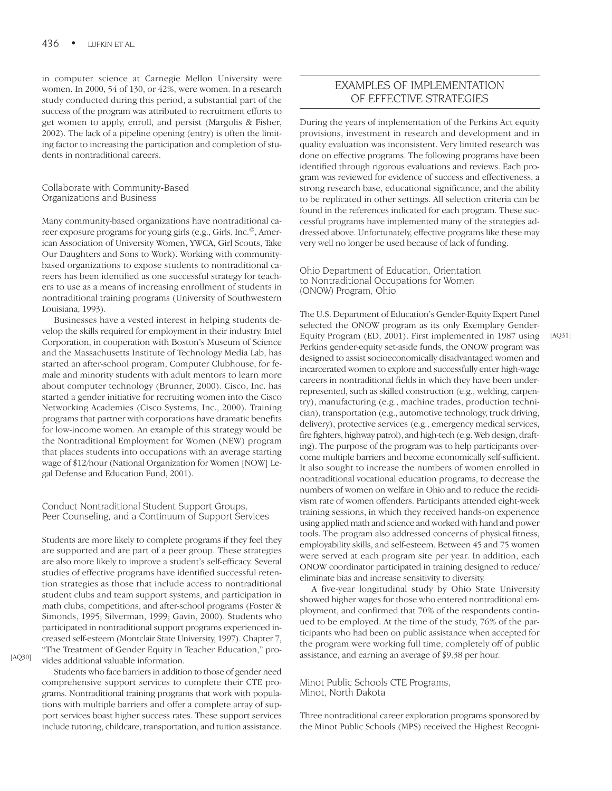in computer science at Carnegie Mellon University were women. In 2000, 54 of 130, or 42%, were women. In a research study conducted during this period, a substantial part of the success of the program was attributed to recruitment efforts to get women to apply, enroll, and persist (Margolis & Fisher, 2002). The lack of a pipeline opening (entry) is often the limiting factor to increasing the participation and completion of students in nontraditional careers.

#### Collaborate with Community-Based Organizations and Business

Many community-based organizations have nontraditional career exposure programs for young girls (e.g., Girls, Inc.©, American Association of University Women, YWCA, Girl Scouts, Take Our Daughters and Sons to Work). Working with communitybased organizations to expose students to nontraditional careers has been identified as one successful strategy for teachers to use as a means of increasing enrollment of students in nontraditional training programs (University of Southwestern Louisiana, 1993).

Businesses have a vested interest in helping students develop the skills required for employment in their industry. Intel Corporation, in cooperation with Boston's Museum of Science and the Massachusetts Institute of Technology Media Lab, has started an after-school program, Computer Clubhouse, for female and minority students with adult mentors to learn more about computer technology (Brunner, 2000). Cisco, Inc. has started a gender initiative for recruiting women into the Cisco Networking Academies (Cisco Systems, Inc., 2000). Training programs that partner with corporations have dramatic benefits for low-income women. An example of this strategy would be the Nontraditional Employment for Women (NEW) program that places students into occupations with an average starting wage of \$12/hour (National Organization for Women [NOW] Legal Defense and Education Fund, 2001).

#### Conduct Nontraditional Student Support Groups, Peer Counseling, and a Continuum of Support Services

Students are more likely to complete programs if they feel they are supported and are part of a peer group. These strategies are also more likely to improve a student's self-efficacy. Several studies of effective programs have identified successful retention strategies as those that include access to nontraditional student clubs and team support systems, and participation in math clubs, competitions, and after-school programs (Foster & Simonds, 1995; Silverman, 1999; Gavin, 2000). Students who participated in nontraditional support programs experienced increased self-esteem (Montclair State University, 1997). Chapter 7, "The Treatment of Gender Equity in Teacher Education," provides additional valuable information.

[AQ30]

Students who face barriers in addition to those of gender need comprehensive support services to complete their CTE programs. Nontraditional training programs that work with populations with multiple barriers and offer a complete array of support services boast higher success rates. These support services include tutoring, childcare, transportation, and tuition assistance.

# EXAMPLES OF IMPLEMENTATION OF EFFECTIVE STRATEGIES

During the years of implementation of the Perkins Act equity provisions, investment in research and development and in quality evaluation was inconsistent. Very limited research was done on effective programs. The following programs have been identified through rigorous evaluations and reviews. Each program was reviewed for evidence of success and effectiveness, a strong research base, educational significance, and the ability to be replicated in other settings. All selection criteria can be found in the references indicated for each program. These successful programs have implemented many of the strategies addressed above. Unfortunately, effective programs like these may very well no longer be used because of lack of funding.

Ohio Department of Education, Orientation to Nontraditional Occupations for Women (ONOW) Program, Ohio

The U.S. Department of Education's Gender-Equity Expert Panel selected the ONOW program as its only Exemplary Gender-Equity Program (ED, 2001). First implemented in 1987 using Perkins gender-equity set-aside funds, the ONOW program was designed to assist socioeconomically disadvantaged women and incarcerated women to explore and successfully enter high-wage careers in nontraditional fields in which they have been underrepresented, such as skilled construction (e.g., welding, carpentry), manufacturing (e.g., machine trades, production technician), transportation (e.g., automotive technology, truck driving, delivery), protective services (e.g., emergency medical services, fire fighters, highway patrol), and high-tech (e.g. Web design, drafting). The purpose of the program was to help participants overcome multiple barriers and become economically self-sufficient. It also sought to increase the numbers of women enrolled in nontraditional vocational education programs, to decrease the numbers of women on welfare in Ohio and to reduce the recidivism rate of women offenders. Participants attended eight-week training sessions, in which they received hands-on experience using applied math and science and worked with hand and power tools. The program also addressed concerns of physical fitness, employability skills, and self-esteem. Between 45 and 75 women were served at each program site per year. In addition, each ONOW coordinator participated in training designed to reduce/ eliminate bias and increase sensitivity to diversity.

A five-year longitudinal study by Ohio State University showed higher wages for those who entered nontraditional employment, and confirmed that 70% of the respondents continued to be employed. At the time of the study, 76% of the participants who had been on public assistance when accepted for the program were working full time, completely off of public assistance, and earning an average of \$9.38 per hour.

Minot Public Schools CTE Programs, Minot, North Dakota

Three nontraditional career exploration programs sponsored by the Minot Public Schools (MPS) received the Highest Recogni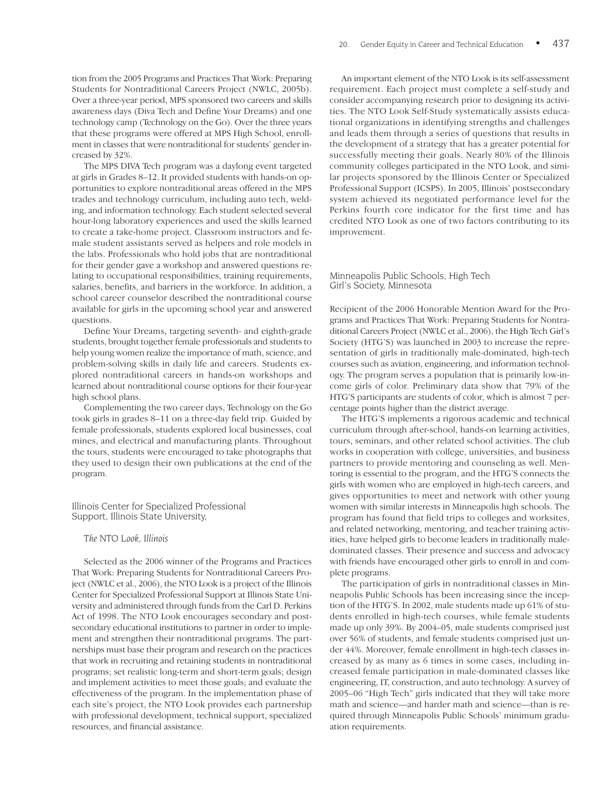tion from the 2005 Programs and Practices That Work: Preparing Students for Nontraditional Careers Project (NWLC, 2005b). Over a three-year period, MPS sponsored two careers and skills awareness days (Diva Tech and Define Your Dreams) and one technology camp (Technology on the Go). Over the three years that these programs were offered at MPS High School, enrollment in classes that were nontraditional for students' gender increased by 32%.

The MPS DIVA Tech program was a daylong event targeted at girls in Grades 8–12. It provided students with hands-on opportunities to explore nontraditional areas offered in the MPS trades and technology curriculum, including auto tech, welding, and information technology. Each student selected several hour-long laboratory experiences and used the skills learned to create a take-home project. Classroom instructors and female student assistants served as helpers and role models in the labs. Professionals who hold jobs that are nontraditional for their gender gave a workshop and answered questions relating to occupational responsibilities, training requirements, salaries, benefits, and barriers in the workforce. In addition, a school career counselor described the nontraditional course available for girls in the upcoming school year and answered questions.

Define Your Dreams, targeting seventh- and eighth-grade students, brought together female professionals and students to help young women realize the importance of math, science, and problem-solving skills in daily life and careers. Students explored nontraditional careers in hands-on workshops and learned about nontraditional course options for their four-year high school plans.

Complementing the two career days, Technology on the Go took girls in grades 8–11 on a three-day field trip. Guided by female professionals, students explored local businesses, coal mines, and electrical and manufacturing plants. Throughout the tours, students were encouraged to take photographs that they used to design their own publications at the end of the program.

Illinois Center for Specialized Professional Support, Illinois State University,

#### *The NTO Look, Illinois*

Selected as the 2006 winner of the Programs and Practices That Work: Preparing Students for Nontraditional Careers Project (NWLC et al., 2006), the NTO Look is a project of the Illinois Center for Specialized Professional Support at Illinois State University and administered through funds from the Carl D. Perkins Act of 1998. The NTO Look encourages secondary and postsecondary educational institutions to partner in order to implement and strengthen their nontraditional programs. The partnerships must base their program and research on the practices that work in recruiting and retaining students in nontraditional programs; set realistic long-term and short-term goals; design and implement activities to meet those goals; and evaluate the effectiveness of the program. In the implementation phase of each site's project, the NTO Look provides each partnership with professional development, technical support, specialized resources, and financial assistance.

An important element of the NTO Look is its self-assessment requirement. Each project must complete a self-study and consider accompanying research prior to designing its activities. The NTO Look Self-Study systematically assists educational organizations in identifying strengths and challenges and leads them through a series of questions that results in the development of a strategy that has a greater potential for successfully meeting their goals. Nearly 80% of the Illinois community colleges participated in the NTO Look, and similar projects sponsored by the Illinois Center or Specialized Professional Support (ICSPS). In 2005, Illinois' postsecondary system achieved its negotiated performance level for the Perkins fourth core indicator for the first time and has credited NTO Look as one of two factors contributing to its improvement.

#### Minneapolis Public Schools, High Tech Girl's Society, Minnesota

Recipient of the 2006 Honorable Mention Award for the Programs and Practices That Work: Preparing Students for Nontraditional Careers Project (NWLC et al., 2006), the High Tech Girl's Society (HTG'S) was launched in 2003 to increase the representation of girls in traditionally male-dominated, high-tech courses such as aviation, engineering, and information technology. The program serves a population that is primarily low-income girls of color. Preliminary data show that 79% of the HTG'S participants are students of color, which is almost 7 percentage points higher than the district average.

The HTG'S implements a rigorous academic and technical curriculum through after-school, hands-on learning activities, tours, seminars, and other related school activities. The club works in cooperation with college, universities, and business partners to provide mentoring and counseling as well. Mentoring is essential to the program, and the HTG'S connects the girls with women who are employed in high-tech careers, and gives opportunities to meet and network with other young women with similar interests in Minneapolis high schools. The program has found that field trips to colleges and worksites, and related networking, mentoring, and teacher training activities, have helped girls to become leaders in traditionally maledominated classes. Their presence and success and advocacy with friends have encouraged other girls to enroll in and complete programs.

The participation of girls in nontraditional classes in Minneapolis Public Schools has been increasing since the inception of the HTG'S. In 2002, male students made up 61% of students enrolled in high-tech courses, while female students made up only 39%. By 2004–05, male students comprised just over 56% of students, and female students comprised just under 44%. Moreover, female enrollment in high-tech classes increased by as many as 6 times in some cases, including increased female participation in male-dominated classes like engineering, IT, construction, and auto technology. A survey of 2005–06 "High Tech" girls indicated that they will take more math and science—and harder math and science—than is required through Minneapolis Public Schools' minimum graduation requirements.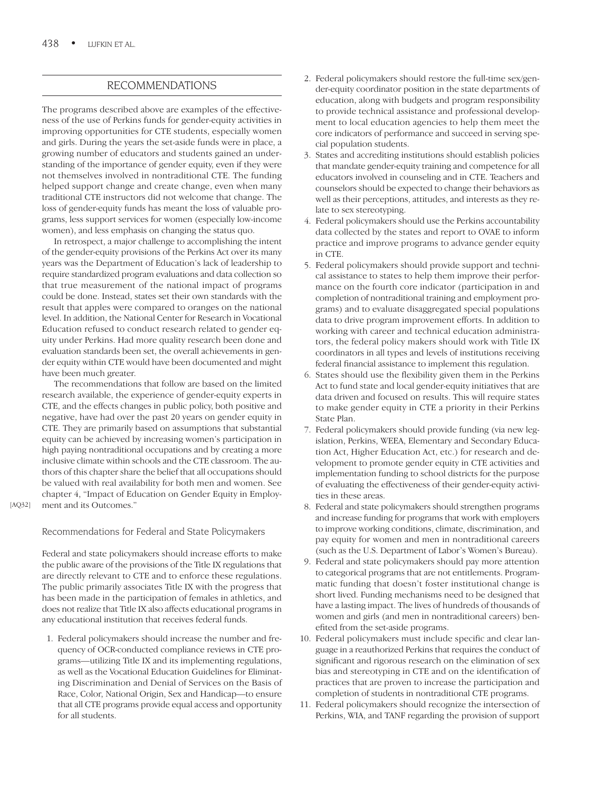# RECOMMENDATIONS

The programs described above are examples of the effectiveness of the use of Perkins funds for gender-equity activities in improving opportunities for CTE students, especially women and girls. During the years the set-aside funds were in place, a growing number of educators and students gained an understanding of the importance of gender equity, even if they were not themselves involved in nontraditional CTE. The funding helped support change and create change, even when many traditional CTE instructors did not welcome that change. The loss of gender-equity funds has meant the loss of valuable programs, less support services for women (especially low-income women), and less emphasis on changing the status quo.

In retrospect, a major challenge to accomplishing the intent of the gender-equity provisions of the Perkins Act over its many years was the Department of Education's lack of leadership to require standardized program evaluations and data collection so that true measurement of the national impact of programs could be done. Instead, states set their own standards with the result that apples were compared to oranges on the national level. In addition, the National Center for Research in Vocational Education refused to conduct research related to gender equity under Perkins. Had more quality research been done and evaluation standards been set, the overall achievements in gender equity within CTE would have been documented and might have been much greater.

The recommendations that follow are based on the limited research available, the experience of gender-equity experts in CTE, and the effects changes in public policy, both positive and negative, have had over the past 20 years on gender equity in CTE. They are primarily based on assumptions that substantial equity can be achieved by increasing women's participation in high paying nontraditional occupations and by creating a more inclusive climate within schools and the CTE classroom. The authors of this chapter share the belief that all occupations should be valued with real availability for both men and women. See chapter 4, "Impact of Education on Gender Equity in Employment and its Outcomes."

[AQ32]

#### Recommendations for Federal and State Policymakers

Federal and state policymakers should increase efforts to make the public aware of the provisions of the Title IX regulations that are directly relevant to CTE and to enforce these regulations. The public primarily associates Title IX with the progress that has been made in the participation of females in athletics, and does not realize that Title IX also affects educational programs in any educational institution that receives federal funds.

1. Federal policymakers should increase the number and frequency of OCR-conducted compliance reviews in CTE programs—utilizing Title IX and its implementing regulations, as well as the Vocational Education Guidelines for Eliminating Discrimination and Denial of Services on the Basis of Race, Color, National Origin, Sex and Handicap—to ensure that all CTE programs provide equal access and opportunity for all students.

- 2. Federal policymakers should restore the full-time sex/gender-equity coordinator position in the state departments of education, along with budgets and program responsibility to provide technical assistance and professional development to local education agencies to help them meet the core indicators of performance and succeed in serving special population students.
- 3. States and accrediting institutions should establish policies that mandate gender-equity training and competence for all educators involved in counseling and in CTE. Teachers and counselors should be expected to change their behaviors as well as their perceptions, attitudes, and interests as they relate to sex stereotyping.
- 4. Federal policymakers should use the Perkins accountability data collected by the states and report to OVAE to inform practice and improve programs to advance gender equity in CTE.
- 5. Federal policymakers should provide support and technical assistance to states to help them improve their performance on the fourth core indicator (participation in and completion of nontraditional training and employment programs) and to evaluate disaggregated special populations data to drive program improvement efforts. In addition to working with career and technical education administrators, the federal policy makers should work with Title IX coordinators in all types and levels of institutions receiving federal financial assistance to implement this regulation.
- 6. States should use the flexibility given them in the Perkins Act to fund state and local gender-equity initiatives that are data driven and focused on results. This will require states to make gender equity in CTE a priority in their Perkins State Plan.
- 7. Federal policymakers should provide funding (via new legislation, Perkins, WEEA, Elementary and Secondary Education Act, Higher Education Act, etc.) for research and development to promote gender equity in CTE activities and implementation funding to school districts for the purpose of evaluating the effectiveness of their gender-equity activities in these areas.
- 8. Federal and state policymakers should strengthen programs and increase funding for programs that work with employers to improve working conditions, climate, discrimination, and pay equity for women and men in nontraditional careers (such as the U.S. Department of Labor's Women's Bureau).
- 9. Federal and state policymakers should pay more attention to categorical programs that are not entitlements. Programmatic funding that doesn't foster institutional change is short lived. Funding mechanisms need to be designed that have a lasting impact. The lives of hundreds of thousands of women and girls (and men in nontraditional careers) benefited from the set-aside programs.
- 10. Federal policymakers must include specific and clear language in a reauthorized Perkins that requires the conduct of significant and rigorous research on the elimination of sex bias and stereotyping in CTE and on the identification of practices that are proven to increase the participation and completion of students in nontraditional CTE programs.
- 11. Federal policymakers should recognize the intersection of Perkins, WIA, and TANF regarding the provision of support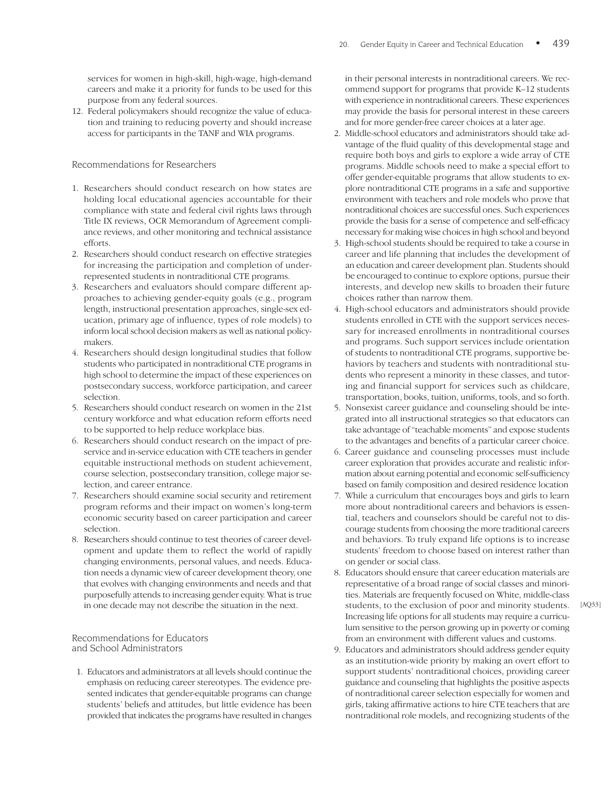services for women in high-skill, high-wage, high-demand careers and make it a priority for funds to be used for this purpose from any federal sources.

12. Federal policymakers should recognize the value of education and training to reducing poverty and should increase access for participants in the TANF and WIA programs.

#### Recommendations for Researchers

- 1. Researchers should conduct research on how states are holding local educational agencies accountable for their compliance with state and federal civil rights laws through Title IX reviews, OCR Memorandum of Agreement compliance reviews, and other monitoring and technical assistance efforts.
- 2. Researchers should conduct research on effective strategies for increasing the participation and completion of underrepresented students in nontraditional CTE programs.
- 3. Researchers and evaluators should compare different approaches to achieving gender-equity goals (e.g., program length, instructional presentation approaches, single-sex education, primary age of influence, types of role models) to inform local school decision makers as well as national policymakers.
- 4. Researchers should design longitudinal studies that follow students who participated in nontraditional CTE programs in high school to determine the impact of these experiences on postsecondary success, workforce participation, and career selection.
- 5. Researchers should conduct research on women in the 21st century workforce and what education reform efforts need to be supported to help reduce workplace bias.
- 6. Researchers should conduct research on the impact of preservice and in-service education with CTE teachers in gender equitable instructional methods on student achievement, course selection, postsecondary transition, college major selection, and career entrance.
- 7. Researchers should examine social security and retirement program reforms and their impact on women's long-term economic security based on career participation and career selection.
- 8. Researchers should continue to test theories of career development and update them to reflect the world of rapidly changing environments, personal values, and needs. Education needs a dynamic view of career development theory, one that evolves with changing environments and needs and that purposefully attends to increasing gender equity. What is true in one decade may not describe the situation in the next.

#### Recommendations for Educators and School Administrators

1. Educators and administrators at all levels should continue the emphasis on reducing career stereotypes. The evidence presented indicates that gender-equitable programs can change students' beliefs and attitudes, but little evidence has been provided that indicates the programs have resulted in changes

in their personal interests in nontraditional careers. We recommend support for programs that provide K–12 students with experience in nontraditional careers. These experiences may provide the basis for personal interest in these careers and for more gender-free career choices at a later age.

- 2. Middle-school educators and administrators should take advantage of the fluid quality of this developmental stage and require both boys and girls to explore a wide array of CTE programs. Middle schools need to make a special effort to offer gender-equitable programs that allow students to explore nontraditional CTE programs in a safe and supportive environment with teachers and role models who prove that nontraditional choices are successful ones. Such experiences provide the basis for a sense of competence and self-efficacy necessary for making wise choices in high school and beyond
- 3. High-school students should be required to take a course in career and life planning that includes the development of an education and career development plan. Students should be encouraged to continue to explore options, pursue their interests, and develop new skills to broaden their future choices rather than narrow them.
- 4. High-school educators and administrators should provide students enrolled in CTE with the support services necessary for increased enrollments in nontraditional courses and programs. Such support services include orientation of students to nontraditional CTE programs, supportive behaviors by teachers and students with nontraditional students who represent a minority in these classes, and tutoring and financial support for services such as childcare, transportation, books, tuition, uniforms, tools, and so forth.
- 5. Nonsexist career guidance and counseling should be integrated into all instructional strategies so that educators can take advantage of "teachable moments" and expose students to the advantages and benefits of a particular career choice.
- 6. Career guidance and counseling processes must include career exploration that provides accurate and realistic information about earning potential and economic self-sufficiency based on family composition and desired residence location
- 7. While a curriculum that encourages boys and girls to learn more about nontraditional careers and behaviors is essential, teachers and counselors should be careful not to discourage students from choosing the more traditional careers and behaviors. To truly expand life options is to increase students' freedom to choose based on interest rather than on gender or social class.
- 8. Educators should ensure that career education materials are representative of a broad range of social classes and minorities. Materials are frequently focused on White, middle-class students, to the exclusion of poor and minority students. Increasing life options for all students may require a curriculum sensitive to the person growing up in poverty or coming from an environment with different values and customs.
- 9. Educators and administrators should address gender equity as an institution-wide priority by making an overt effort to support students' nontraditional choices, providing career guidance and counseling that highlights the positive aspects of nontraditional career selection especially for women and girls, taking affirmative actions to hire CTE teachers that are nontraditional role models, and recognizing students of the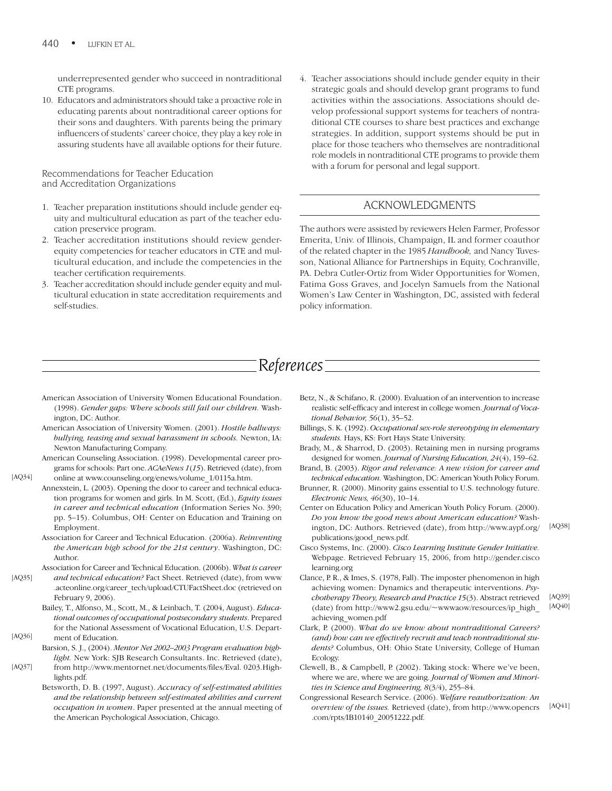underrepresented gender who succeed in nontraditional CTE programs.

10. Educators and administrators should take a proactive role in educating parents about nontraditional career options for their sons and daughters. With parents being the primary influencers of students' career choice, they play a key role in assuring students have all available options for their future.

Recommendations for Teacher Education and Accreditation Organizations

- 1. Teacher preparation institutions should include gender equity and multicultural education as part of the teacher education preservice program.
- 2. Teacher accreditation institutions should review genderequity competencies for teacher educators in CTE and multicultural education, and include the competencies in the teacher certification requirements.
- 3. Teacher accreditation should include gender equity and multicultural education in state accreditation requirements and self-studies.

4. Teacher associations should include gender equity in their strategic goals and should develop grant programs to fund activities within the associations. Associations should develop professional support systems for teachers of nontraditional CTE courses to share best practices and exchange strategies. In addition, support systems should be put in place for those teachers who themselves are nontraditional role models in nontraditional CTE programs to provide them with a forum for personal and legal support.

# ACKNOWLEDGMENTS

The authors were assisted by reviewers Helen Farmer, Professor Emerita, Univ. of Illinois, Champaign, IL and former coauthor of the related chapter in the 1985 *Handbook,* and Nancy Tuvesson, National Alliance for Partnerships in Equity, Cochranville, PA. Debra Cutler-Ortiz from Wider Opportunities for Women, Fatima Goss Graves, and Jocelyn Samuels from the National Women's Law Center in Washington, DC, assisted with federal policy information.

# *References*

- American Association of University Women Educational Foundation. (1998). *Gender gaps: Where schools still fail our children.* Washington, DC: Author.
- American Association of University Women. (2001). *Hostile hallways: bullying, teasing and sexual harassment in schools.* Newton, IA: Newton Manufacturing Company.
- American Counseling Association. (1998). Developmental career programs for schools: Part one. *ACAeNews 1*(*15*). Retrieved (date), from online at www.counseling.org/enews/volume\_1/0115a.htm.

[AQ34]

- Annexstein, L. (2003). Opening the door to career and technical education programs for women and girls. In M. Scott, (Ed.), *Equity issues in career and technical education* (Information Series No. 390; pp. 5–15). Columbus, OH: Center on Education and Training on Employment.
- Association for Career and Technical Education. (2006a). *Reinventing the American high school for the 21st century*. Washington, DC: Author.

Association for Career and Technical Education. (2006b). *What is career*

*and technical education?* Fact Sheet. Retrieved (date), from www .acteonline.org/career\_tech/upload/CTUFactSheet.doc (retrieved on February 9, 2006). [AQ35]

Bailey, T., Alfonso, M., Scott, M., & Leinbach, T. (2004, August). *Educational outcomes of occupational postsecondary students*. Prepared for the National Assessment of Vocational Education, U.S. Department of Education. [AQ36]

- Barsion, S. J., (2004). *Mentor Net 2002–2003 Program evaluation highlight.* New York: SJB Research Consultants. Inc. Retrieved (date),
- from http://www.mentornet.net/documents/files/Eval. 0203.Highlights.pdf. [AQ37]
	- Betsworth, D. B. (1997, August). *Accuracy of self-estimated abilities and the relationship between self-estimated abilities and current occupation in women*. Paper presented at the annual meeting of the American Psychological Association, Chicago.
- Betz, N., & Schifano, R. (2000). Evaluation of an intervention to increase realistic self-efficacy and interest in college women. *Journal of Vocational Behavior, 56*(1), 35–52.
- Billings, S. K. (1992). *Occupational sex-role stereotyping in elementary students.* Hays, KS: Fort Hays State University.
- Brady, M., & Sharrod, D. (2003). Retaining men in nursing programs designed for women. *Journal of Nursing Education, 24*(4), 159–62.
- Brand, B. (2003). *Rigor and relevance: A new vision for career and technical education.* Washington, DC: American Youth Policy Forum.
- Brunner, R. (2000). Minority gains essential to U.S. technology future. *Electronic News, 46*(30), 10–14.
- Center on Education Policy and American Youth Policy Forum. (2000). *Do you know the good news about American education?* Washington, DC: Authors. Retrieved (date), from http://www.aypf.org/ publications/good\_news.pdf.
- Cisco Systems, Inc. (2000). *Cisco Learning Institute Gender Initiative.* Webpage. Retrieved February 15, 2006, from http://gender.cisco learning.org
- Clance, P. R., & Imes, S. (1978, Fall). The imposter phenomenon in high achieving women: Dynamics and therapeutic interventions. *Psychotherapy Theory, Research and Practice 15*(3). Abstract retrieved (date) from http://www2.gsu.edu/~wwwaow/resources/ip\_high\_ achieving\_women.pdf [AQ39] [AQ40]
- Clark, P. (2000). *What do we know about nontraditional Careers? (and) how can we effectively recruit and teach nontraditional students?* Columbus, OH: Ohio State University, College of Human Ecology.
- Clewell, B., & Campbell, P. (2002). Taking stock: Where we've been, where we are, where we are going. *Journal of Women and Minorities in Science and Engineering, 8*(3/4), 255–84.
- Congressional Research Service. (2006). *Welfare reauthorization: An overview of the issues.* Retrieved (date), from http://www.opencrs .com/rpts/IB10140\_20051222.pdf. [AQ41]

[AQ38]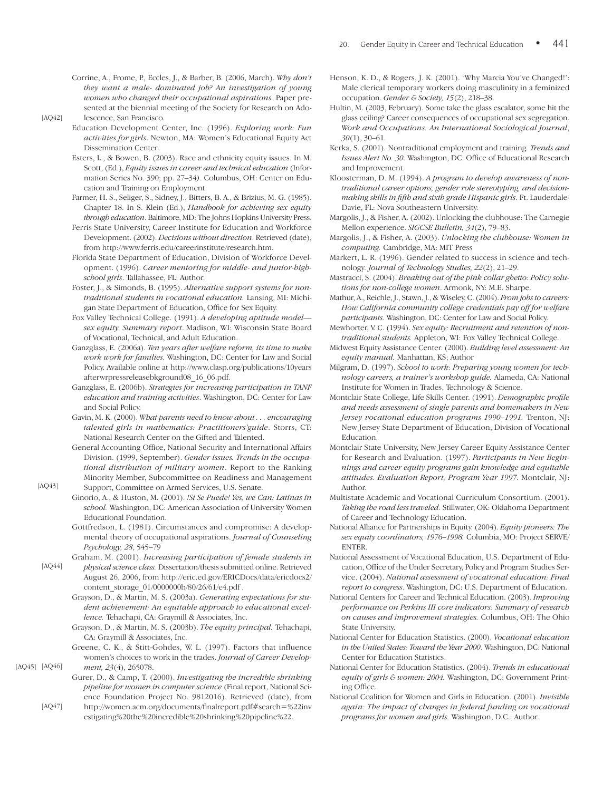- Corrine, A., Frome, P., Eccles, J., & Barber, B. (2006, March). *Why don't they want a male- dominated job? An investigation of young women who changed their occupational aspirations.* Paper presented at the biennial meeting of the Society for Research on Adolescence, San Francisco.
- Education Development Center, Inc. (1996). *Exploring work: Fun activities for girls*. Newton, MA: Women's Educational Equity Act Dissemination Center.
	- Esters, L., & Bowen, B. (2003). Race and ethnicity equity issues. In M. Scott, (Ed.), *Equity issues in career and technical education* (Information Series No. 390; pp. 27–34*).* Columbus, OH: Center on Education and Training on Employment.
	- Farmer, H. S., Seliger, S., Sidney, J., Bitters, B. A., & Brizius, M. G. (1985). Chapter 18. In S. Klein (Ed.), *Handbook for achieving sex equity through education*. Baltimore, MD: The Johns Hopkins University Press.
	- Ferris State University, Career Institute for Education and Workforce Development. (2002). *Decisions without direction*. Retrieved (date), from http://www.ferris.edu/careerinstitute/research.htm.
	- Florida State Department of Education, Division of Workforce Development. (1996). *Career mentoring for middle- and junior-highschool girls*. Tallahassee, FL: Author.
	- Foster, J., & Simonds, B. (1995). *Alternative support systems for nontraditional students in vocational education.* Lansing, MI: Michigan State Department of Education, Office for Sex Equity.
	- Fox Valley Technical College. (1991). *A developing aptitude model sex equity. Summary report*. Madison, WI: Wisconsin State Board of Vocational, Technical, and Adult Education.
	- Ganzglass, E. (2006a). *Ten years after welfare reform, its time to make work work for families.* Washington, DC: Center for Law and Social Policy. Available online at http://www.clasp.org/publications/10years afterwrpressreleasebkground08\_16\_06.pdf.
- Ganzglass, E. (2006b). *Strategies for increasing participation in TANF education and training activities*. Washington, DC: Center for Law and Social Policy.
- Gavin, M. K. (2000). *What parents need to know about . . . encouraging talented girls in mathematics: Practitioners'guide*. Storrs, CT: National Research Center on the Gifted and Talented.
- General Accounting Office, National Security and International Affairs Division. (1999, September). *Gender issues. Trends in the occupational distribution of military women*. Report to the Ranking Minority Member, Subcommittee on Readiness and Management
- Support, Committee on Armed Services, U.S. Senate. Ginorio, A., & Huston, M. (2001). *!Si Se Puede! Yes, we Can: Latinas in school.* Washington, DC: American Association of University Women Educational Foundation.
- Gottfredson, L. (1981). Circumstances and compromise: A developmental theory of occupational aspirations. *Journal of Counseling Psychology, 28*, 545–79
- Graham, M. (2001). *Increasing participation of female students in*
- *physical science class.* Dissertation/thesis submitted online. Retrieved August 26, 2006, from http://eric.ed.gov/ERICDocs/data/ericdocs2/ content\_storage\_01/0000000b/80/26/61/e4.pdf . [AQ44]
	- Grayson, D., & Martin, M. S. (2003a). *Generating expectations for student achievement: An equitable approach to educational excellence.* Tehachapi, CA: Graymill & Associates, Inc.
	- Grayson, D., & Martin, M. S. (2003b). *The equity principal.* Tehachapi, CA: Graymill & Associates, Inc.
	- Greene, C. K., & Stitt-Gohdes, W. L. (1997). Factors that influence women's choices to work in the trades. *Journal of Career Development, 23*(4), 265078.
	- Gurer, D., & Camp, T. (2000). *Investigating the incredible shrinking pipeline for women in computer science* (Final report, National Science Foundation Project No. 9812016). Retrieved (date), from
- http://women.acm.org/documents/finalreport.pdf#search-%22inv estigating%20the%20incredible%20shrinking%20pipeline%22. [AQ47]
- Henson, K. D., & Rogers, J. K. (2001). 'Why Marcia You've Changed!': Male clerical temporary workers doing masculinity in a feminized occupation. *Gender & Society, 15*(2), 218–38.
- Hultin, M. (2003, February). Some take the glass escalator, some hit the glass ceiling? Career consequences of occupational sex segregation. *Work and Occupations: An International Sociological Journal*, *30*(1), 30–61.
- Kerka, S. (2001). Nontraditional employment and training*. Trends and Issues Alert No. 30*. Washington, DC: Office of Educational Research and Improvement.
- Kloosterman, D. M. (1994). *A program to develop awareness of nontraditional career options, gender role stereotyping, and decisionmaking skills in fifth and sixth grade Hispanic girls*. Ft. Lauderdale-Davie, FL: Nova Southeastern University.
- Margolis, J., & Fisher, A. (2002). Unlocking the clubhouse: The Carnegie Mellon experience. *SIGCSE Bulletin, 34*(2), 79–83.
- Margolis, J., & Fisher, A. (2003). *Unlocking the clubhouse: Women in computing.* Cambridge, MA: MIT Press
- Markert, L. R. (1996). Gender related to success in science and technology*. Journal of Technology Studies, 22*(2), 21–29.
- Mastracci, S. (2004). *Breaking out of the pink collar ghetto: Policy solutions for non-college women*. Armonk, NY: M.E. Sharpe.
- Mathur, A., Reichle, J., Stawn, J., & Wiseley, C. (2004). *From jobs to careers: How California community college credentials pay off for welfare participants*. Washington, DC: Center for Law and Social Policy.
- Mewhorter, V. C. (1994). *Sex equity: Recruitment and retention of nontraditional students.* Appleton, WI: Fox Valley Technical College.
- Midwest Equity Assistance Center. (2000). *Building level assessment: An equity manual.* Manhattan, KS; Author
- Milgram, D. (1997). *School to work: Preparing young women for technology careers, a trainer's workshop guide.* Alameda, CA: National Institute for Women in Trades, Technology & Science.
- Montclair State College, Life Skills Center. (1991). *Demographic profile and needs assessment of single parents and homemakers in New Jersey vocational education programs 1990–1991.* Trenton, NJ: New Jersey State Department of Education, Division of Vocational Education.
- Montclair State University, New Jersey Career Equity Assistance Center for Research and Evaluation. (1997). *Participants in New Beginnings and career equity programs gain knowledge and equitable attitudes. Evaluation Report, Program Year 1997.* Montclair, NJ: Author.
- Multistate Academic and Vocational Curriculum Consortium. (2001). *Taking the road less traveled.* Stillwater, OK: Oklahoma Department of Career and Technology Education.
- National Alliance for Partnerships in Equity. (2004). *Equity pioneers: The sex equity coordinators, 1976–1998.* Columbia, MO: Project SERVE/ **ENTER**
- National Assessment of Vocational Education, U.S. Department of Education, Office of the Under Secretary, Policy and Program Studies Service. (2004). *National assessment of vocational education: Final report to congress*. Washington, DC: U.S. Department of Education.
- National Centers for Career and Technical Education. (2003). *Improving performance on Perkins III core indicators: Summary of research on causes and improvement strategies.* Columbus, OH: The Ohio State University.
- National Center for Education Statistics. (2000). *Vocational education in the United States: Toward the Year 2000*. Washington, DC: National Center for Education Statistics.
- National Center for Education Statistics. (2004). *Trends in educational equity of girls & women: 2004.* Washington, DC: Government Printing Office.
- National Coalition for Women and Girls in Education. (2001). *Invisible again: The impact of changes in federal funding on vocational programs for women and girls.* Washington, D.C.: Author.

[AQ45] [AQ46]

[AQ43]

[AQ42]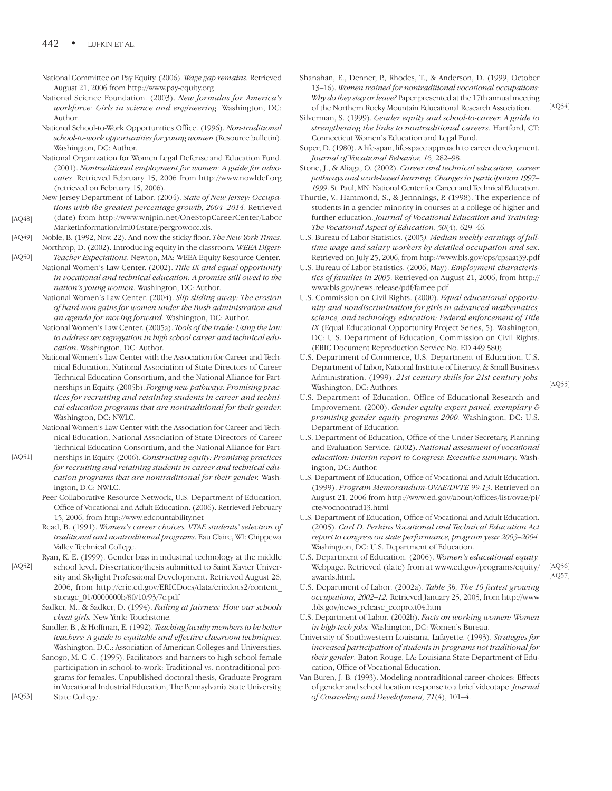- National Committee on Pay Equity. (2006). *Wage gap remains.* Retrieved August 21, 2006 from http://www.pay-equity.org
- National Science Foundation. (2003). *New formulas for America's workforce: Girls in science and engineering.* Washington, DC: Author.
- National School-to-Work Opportunities Office. (1996). *Non-traditional school-to-work opportunities for young women* (Resource bulletin). Washington, DC: Author.
- National Organization for Women Legal Defense and Education Fund. (2001). *Nontraditional employment for women: A guide for advocates*. Retrieved February 15, 2006 from http://www.nowldef.org (retrieved on February 15, 2006).
- New Jersey Department of Labor. (2004). *State of New Jersey: Occupations with the greatest percentage growth, 2004–2014.* Retrieved (date) from http://www.wnjpin.net/OneStopCareerCenter/Labor MarketInformation/lmi04/state/pergrowocc.xls. [AQ48]
- Noble, B. (1992, Nov. 22). And now the sticky floor. *The New York Times.* Northrop, D. (2002). Introducing equity in the classroom*. WEEA Digest:* [AQ49]

*Teacher Expectations.* Newton, MA: WEEA Equity Resource Center. National Women's Law Center. (2002). *Title IX and equal opportunity in vocational and technical education: A promise still owed to the* [AQ50]

- *nation's young women*. Washington, DC: Author. National Women's Law Center. (2004). *Slip sliding away: The erosion of hard-won gains for women under the Bush administration and an agenda for moving forward.* Washington, DC: Author.
- National Women's Law Center. (2005a). *Tools of the trade: Using the law to address sex segregation in high school career and technical education*. Washington, DC: Author.
- National Women's Law Center with the Association for Career and Technical Education, National Association of State Directors of Career Technical Education Consortium, and the National Alliance for Partnerships in Equity. (2005b). *Forging new pathways: Promising practices for recruiting and retaining students in career and technical education programs that are nontraditional for their gender.* Washington, DC: NWLC.
- National Women's Law Center with the Association for Career and Technical Education, National Association of State Directors of Career Technical Education Consortium, and the National Alliance for Part-
- nerships in Equity. (2006). *Constructing equity: Promising practices for recruiting and retaining students in career and technical education programs that are nontraditional for their gender.* Washington, D.C: NWLC.
- Peer Collaborative Resource Network, U.S. Department of Education, Office of Vocational and Adult Education. (2006). Retrieved February 15, 2006, from http://www.edcountability.net
- Read, B. (1991). *Women's career choices. VTAE students' selection of traditional and nontraditional programs*. Eau Claire, WI: Chippewa Valley Technical College.
- Ryan, K. E. (1999). Gender bias in industrial technology at the middle
- school level. Dissertation/thesis submitted to Saint Xavier University and Skylight Professional Development. Retrieved August 26, 2006, from http://eric.ed.gov/ERICDocs/data/ericdocs2/content\_ storage\_01/0000000b/80/10/93/7c.pdf [AQ52]
	- Sadker, M., & Sadker, D. (1994). *Failing at fairness: How our schools cheat girls.* New York: Touchstone.
	- Sandler, B., & Hoffman, E. (1992). *Teaching faculty members to be better teachers: A guide to equitable and effective classroom techniques.* Washington, D.C.: Association of American Colleges and Universities.
	- Sanogo, M. C .C. (1995). Facilitators and barriers to high school female participation in school-to-work: Traditional vs. nontraditional programs for females. Unpublished doctoral thesis, Graduate Program in Vocational Industrial Education, The Pennsylvania State University, State College.

Shanahan, E., Denner, P., Rhodes, T., & Anderson, D. (1999, October 13–16). *Women trained for nontraditional vocational occupations: Why do they stay or leave?* Paper presented at the 17th annual meeting of the Northern Rocky Mountain Educational Research Association.

Silverman, S. (1999). *Gender equity and school-to-career. A guide to strengthening the links to nontraditional careers*. Hartford, CT: Connecticut Women's Education and Legal Fund.

- Super, D. (1980). A life-span, life-space approach to career development. *Journal of Vocational Behavior, 16,* 282–98.
- Stone, J., & Aliaga, O. (2002). *Career and technical education, career pathways and work-based learning: Changes in participation 1997– 1999*. St. Paul, MN: National Center for Career and Technical Education.
- Thurtle, V., Hammond, S., & Jennnings, P. (1998). The experience of students in a gender minority in courses at a college of higher and further education. *Journal of Vocational Education and Training: The Vocational Aspect of Education, 50*(4), 629–46.
- U.S. Bureau of Labor Statistics. (2005*). Median weekly earnings of fulltime wage and salary workers by detailed occupation and sex*. Retrieved on July 25, 2006, from http://www.bls.gov/cps/cpsaat39.pdf
- U.S. Bureau of Labor Statistics. (2006, May). *Employment characteristics of families in 2005*. Retrieved on August 21, 2006, from http:// www.bls.gov/news.release/pdf/famee.pdf
- U.S. Commission on Civil Rights. (2000). *Equal educational opportunity and nondiscrimination for girls in advanced mathematics, science, and technology education: Federal enforcement of Title IX* (Equal Educational Opportunity Project Series, 5). Washington, DC: U.S. Department of Education, Commission on Civil Rights. (ERIC Document Reproduction Service No. ED 449 580)
- U.S. Department of Commerce, U.S. Department of Education, U.S. Department of Labor, National Institute of Literacy, & Small Business Administration. (1999). *21st century skills for 21st century jobs.* Washington, DC: Authors.
- U.S. Department of Education, Office of Educational Research and Improvement. (2000). *Gender equity expert panel, exemplary & promising gender equity programs 2000.* Washington, DC: U.S. Department of Education.
- U.S. Department of Education, Office of the Under Secretary, Planning and Evaluation Service. (2002). *National assessment of vocational education: Interim report to Congress: Executive summary.* Washington, DC: Author.
- U.S. Department of Education, Office of Vocational and Adult Education. (1999). *Program Memorandum-OVAE/DVTE 99-13*. Retrieved on August 21, 2006 from http://www.ed.gov/about/offices/list/ovae/pi/ cte/vocnontrad13.html
- U.S. Department of Education, Office of Vocational and Adult Education. (2005). *Carl D. Perkins Vocational and Technical Education Act report to congress on state performance, program year 2003–2004.* Washington, DC: U.S. Department of Education.
- U.S. Department of Education. (2006). *Women's educational equity.* Webpage. Retrieved (date) from at www.ed.gov/programs/equity/ awards.html.
- U.S. Department of Labor. (2002a). *Table 3b, The 10 fastest growing occupations, 2002–12.* Retrieved January 25, 2005, from http://www .bls.gov/news\_release\_ecopro.t04.htm
- U.S. Department of Labor. (2002b). *Facts on working women: Women in high-tech jobs.* Washington, DC: Women's Bureau.
- University of Southwestern Louisiana, Lafayette. (1993). *Strategies for increased participation of students in programs not traditional for their gender*. Baton Rouge, LA: Louisiana State Department of Education, Office of Vocational Education.
- Van Buren, J. B. (1993). Modeling nontraditional career choices: Effects of gender and school location response to a brief videotape. *Journal of Counseling and Development, 71*(4), 101–4.

[AQ53]

[AQ51]

[AQ54]

[AQ55]

[AQ56] [AQ57]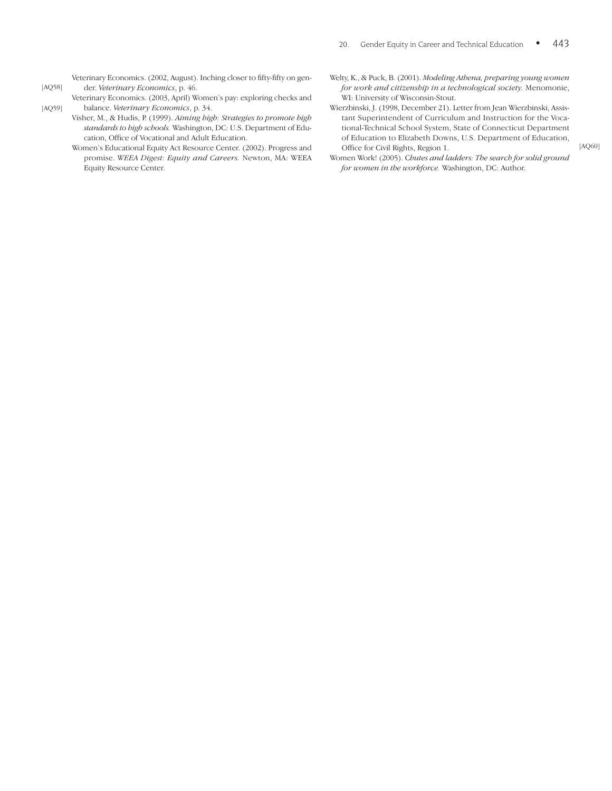Veterinary Economics. (2002, August). Inching closer to fifty-fifty on gender. *Veterinary Economics*, p. 46.

- Veterinary Economics. (2003, April) Women's pay: exploring checks and balance. *Veterinary Economics*, p. 34. [AQ59]
	- Visher, M., & Hudis, P. (1999). *Aiming high: Strategies to promote high standards to high schools.* Washington, DC: U.S. Department of Education, Office of Vocational and Adult Education.
		- Women's Educational Equity Act Resource Center. (2002). Progress and promise. *WEEA Digest: Equity and Careers.* Newton, MA: WEEA Equity Resource Center.
- Welty, K., & Puck, B. (2001). *Modeling Athena, preparing young women for work and citizenship in a technological society.* Menomonie, WI: University of Wisconsin-Stout.
- Wierzbinski, J. (1998, December 21). Letter from Jean Wierzbinski, Assistant Superintendent of Curriculum and Instruction for the Vocational-Technical School System, State of Connecticut Department of Education to Elizabeth Downs, U.S. Department of Education, Office for Civil Rights, Region 1.
- Women Work! (2005). C*hutes and ladders: The search for solid ground for women in the workforce.* Washington, DC: Author.

[AQ60]

[AQ58]